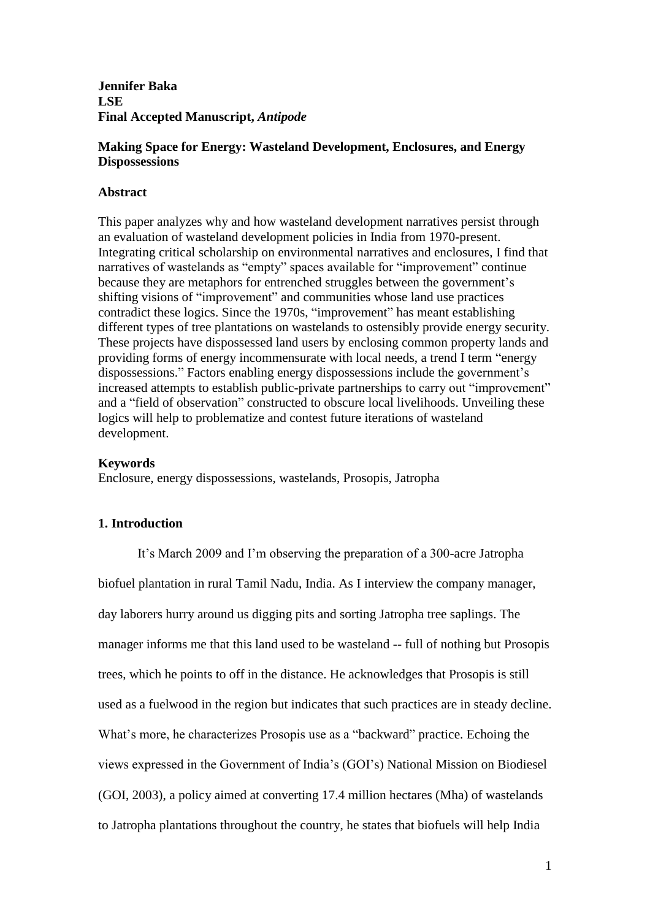**Jennifer Baka LSE Final Accepted Manuscript,** *Antipode*

# **Making Space for Energy: Wasteland Development, Enclosures, and Energy Dispossessions**

## **Abstract**

This paper analyzes why and how wasteland development narratives persist through an evaluation of wasteland development policies in India from 1970-present. Integrating critical scholarship on environmental narratives and enclosures, I find that narratives of wastelands as "empty" spaces available for "improvement" continue because they are metaphors for entrenched struggles between the government's shifting visions of "improvement" and communities whose land use practices contradict these logics. Since the 1970s, "improvement" has meant establishing different types of tree plantations on wastelands to ostensibly provide energy security. These projects have dispossessed land users by enclosing common property lands and providing forms of energy incommensurate with local needs, a trend I term "energy dispossessions." Factors enabling energy dispossessions include the government's increased attempts to establish public-private partnerships to carry out "improvement" and a "field of observation" constructed to obscure local livelihoods. Unveiling these logics will help to problematize and contest future iterations of wasteland development.

#### **Keywords**

Enclosure, energy dispossessions, wastelands, Prosopis, Jatropha

## **1. Introduction**

It's March 2009 and I'm observing the preparation of a 300-acre Jatropha biofuel plantation in rural Tamil Nadu, India. As I interview the company manager, day laborers hurry around us digging pits and sorting Jatropha tree saplings. The manager informs me that this land used to be wasteland -- full of nothing but Prosopis trees, which he points to off in the distance. He acknowledges that Prosopis is still used as a fuelwood in the region but indicates that such practices are in steady decline. What's more, he characterizes Prosopis use as a "backward" practice. Echoing the views expressed in the Government of India's (GOI's) National Mission on Biodiesel (GOI, 2003), a policy aimed at converting 17.4 million hectares (Mha) of wastelands to Jatropha plantations throughout the country, he states that biofuels will help India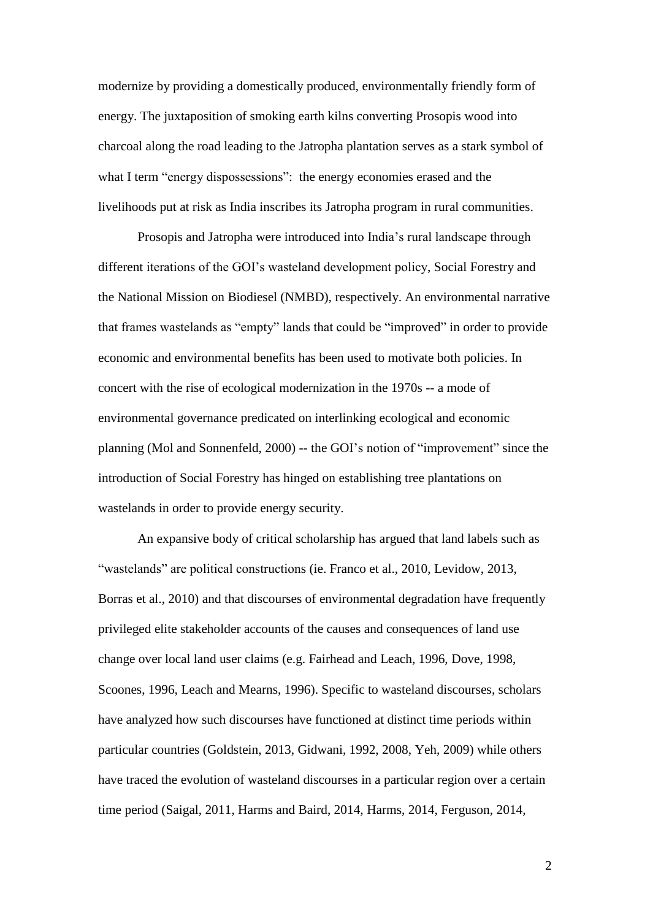modernize by providing a domestically produced, environmentally friendly form of energy. The juxtaposition of smoking earth kilns converting Prosopis wood into charcoal along the road leading to the Jatropha plantation serves as a stark symbol of what I term "energy dispossessions": the energy economies erased and the livelihoods put at risk as India inscribes its Jatropha program in rural communities.

Prosopis and Jatropha were introduced into India's rural landscape through different iterations of the GOI's wasteland development policy, Social Forestry and the National Mission on Biodiesel (NMBD), respectively. An environmental narrative that frames wastelands as "empty" lands that could be "improved" in order to provide economic and environmental benefits has been used to motivate both policies. In concert with the rise of ecological modernization in the 1970s -- a mode of environmental governance predicated on interlinking ecological and economic planning (Mol and Sonnenfeld, 2000) -- the GOI's notion of "improvement" since the introduction of Social Forestry has hinged on establishing tree plantations on wastelands in order to provide energy security.

An expansive body of critical scholarship has argued that land labels such as "wastelands" are political constructions (ie. Franco et al., 2010, Levidow, 2013, Borras et al., 2010) and that discourses of environmental degradation have frequently privileged elite stakeholder accounts of the causes and consequences of land use change over local land user claims (e.g. Fairhead and Leach, 1996, Dove, 1998, Scoones, 1996, Leach and Mearns, 1996). Specific to wasteland discourses, scholars have analyzed how such discourses have functioned at distinct time periods within particular countries (Goldstein, 2013, Gidwani, 1992, 2008, Yeh, 2009) while others have traced the evolution of wasteland discourses in a particular region over a certain time period (Saigal, 2011, Harms and Baird, 2014, Harms, 2014, Ferguson, 2014,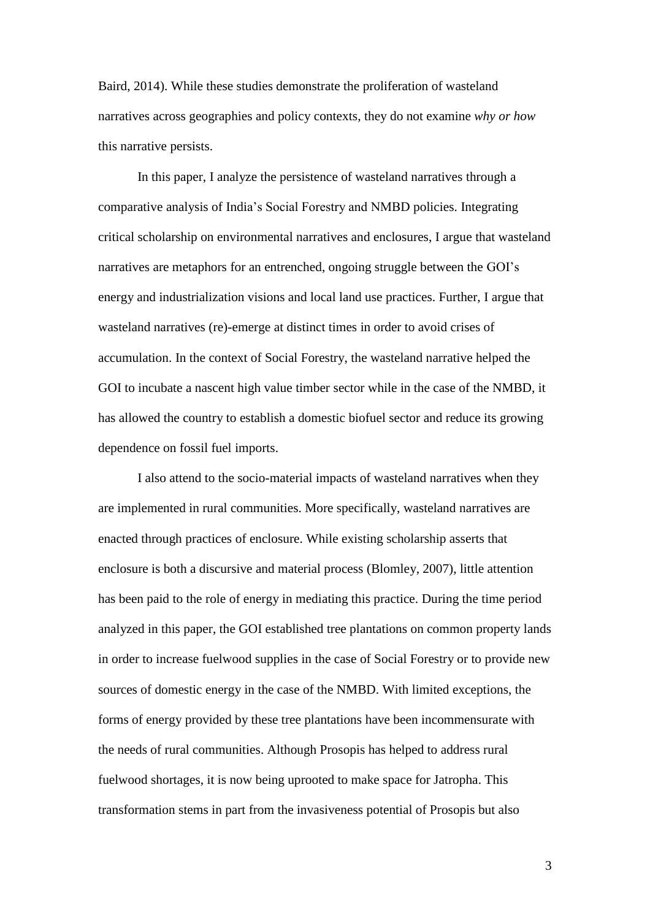Baird, 2014). While these studies demonstrate the proliferation of wasteland narratives across geographies and policy contexts, they do not examine *why or how* this narrative persists.

In this paper, I analyze the persistence of wasteland narratives through a comparative analysis of India's Social Forestry and NMBD policies. Integrating critical scholarship on environmental narratives and enclosures, I argue that wasteland narratives are metaphors for an entrenched, ongoing struggle between the GOI's energy and industrialization visions and local land use practices. Further, I argue that wasteland narratives (re)-emerge at distinct times in order to avoid crises of accumulation. In the context of Social Forestry, the wasteland narrative helped the GOI to incubate a nascent high value timber sector while in the case of the NMBD, it has allowed the country to establish a domestic biofuel sector and reduce its growing dependence on fossil fuel imports.

I also attend to the socio-material impacts of wasteland narratives when they are implemented in rural communities. More specifically, wasteland narratives are enacted through practices of enclosure. While existing scholarship asserts that enclosure is both a discursive and material process (Blomley, 2007), little attention has been paid to the role of energy in mediating this practice. During the time period analyzed in this paper, the GOI established tree plantations on common property lands in order to increase fuelwood supplies in the case of Social Forestry or to provide new sources of domestic energy in the case of the NMBD. With limited exceptions, the forms of energy provided by these tree plantations have been incommensurate with the needs of rural communities. Although Prosopis has helped to address rural fuelwood shortages, it is now being uprooted to make space for Jatropha. This transformation stems in part from the invasiveness potential of Prosopis but also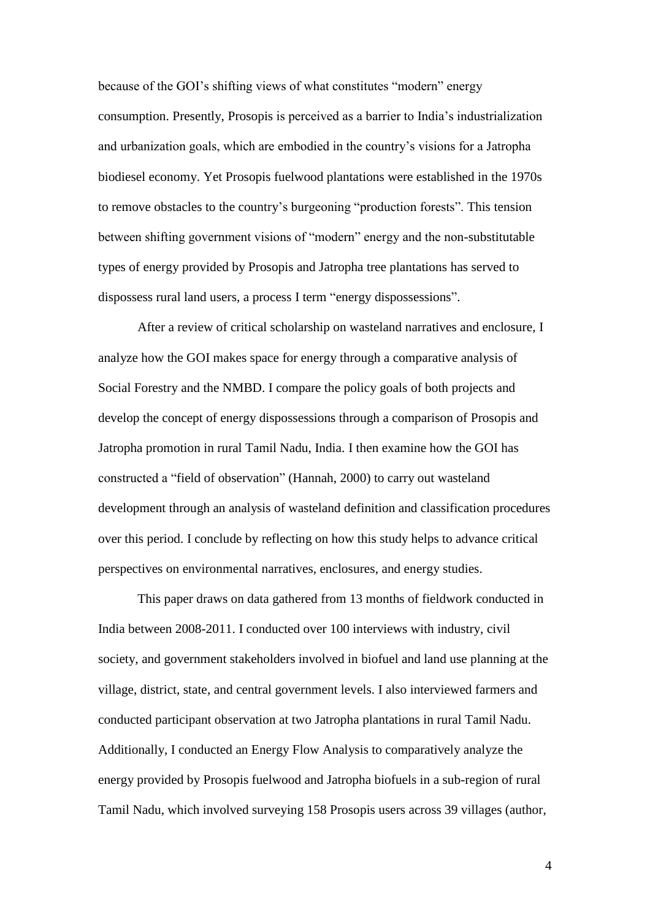because of the GOI's shifting views of what constitutes "modern" energy consumption. Presently, Prosopis is perceived as a barrier to India's industrialization and urbanization goals, which are embodied in the country's visions for a Jatropha biodiesel economy. Yet Prosopis fuelwood plantations were established in the 1970s to remove obstacles to the country's burgeoning "production forests". This tension between shifting government visions of "modern" energy and the non-substitutable types of energy provided by Prosopis and Jatropha tree plantations has served to dispossess rural land users, a process I term "energy dispossessions".

After a review of critical scholarship on wasteland narratives and enclosure, I analyze how the GOI makes space for energy through a comparative analysis of Social Forestry and the NMBD. I compare the policy goals of both projects and develop the concept of energy dispossessions through a comparison of Prosopis and Jatropha promotion in rural Tamil Nadu, India. I then examine how the GOI has constructed a "field of observation" (Hannah, 2000) to carry out wasteland development through an analysis of wasteland definition and classification procedures over this period. I conclude by reflecting on how this study helps to advance critical perspectives on environmental narratives, enclosures, and energy studies.

This paper draws on data gathered from 13 months of fieldwork conducted in India between 2008-2011. I conducted over 100 interviews with industry, civil society, and government stakeholders involved in biofuel and land use planning at the village, district, state, and central government levels. I also interviewed farmers and conducted participant observation at two Jatropha plantations in rural Tamil Nadu. Additionally, I conducted an Energy Flow Analysis to comparatively analyze the energy provided by Prosopis fuelwood and Jatropha biofuels in a sub-region of rural Tamil Nadu, which involved surveying 158 Prosopis users across 39 villages (author,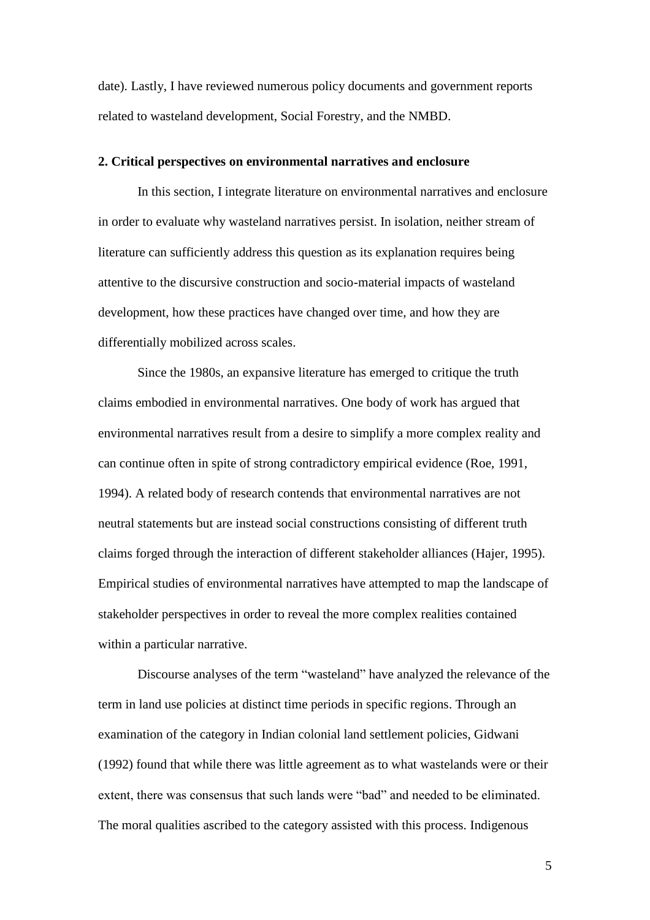date). Lastly, I have reviewed numerous policy documents and government reports related to wasteland development, Social Forestry, and the NMBD.

## **2. Critical perspectives on environmental narratives and enclosure**

In this section, I integrate literature on environmental narratives and enclosure in order to evaluate why wasteland narratives persist. In isolation, neither stream of literature can sufficiently address this question as its explanation requires being attentive to the discursive construction and socio-material impacts of wasteland development, how these practices have changed over time, and how they are differentially mobilized across scales.

Since the 1980s, an expansive literature has emerged to critique the truth claims embodied in environmental narratives. One body of work has argued that environmental narratives result from a desire to simplify a more complex reality and can continue often in spite of strong contradictory empirical evidence (Roe, 1991, 1994). A related body of research contends that environmental narratives are not neutral statements but are instead social constructions consisting of different truth claims forged through the interaction of different stakeholder alliances (Hajer, 1995). Empirical studies of environmental narratives have attempted to map the landscape of stakeholder perspectives in order to reveal the more complex realities contained within a particular narrative.

Discourse analyses of the term "wasteland" have analyzed the relevance of the term in land use policies at distinct time periods in specific regions. Through an examination of the category in Indian colonial land settlement policies, Gidwani (1992) found that while there was little agreement as to what wastelands were or their extent, there was consensus that such lands were "bad" and needed to be eliminated. The moral qualities ascribed to the category assisted with this process. Indigenous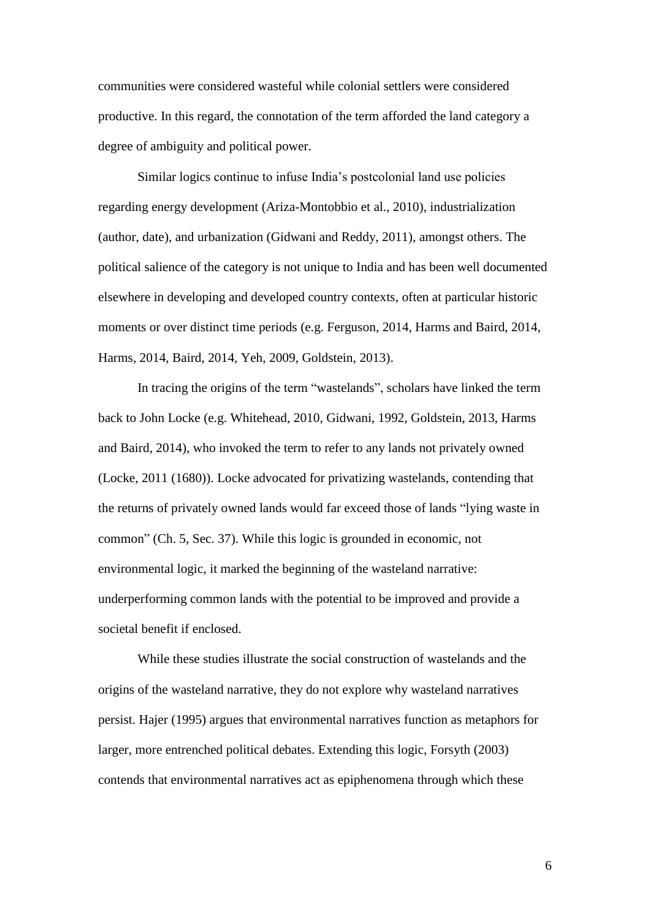communities were considered wasteful while colonial settlers were considered productive. In this regard, the connotation of the term afforded the land category a degree of ambiguity and political power.

Similar logics continue to infuse India's postcolonial land use policies regarding energy development (Ariza-Montobbio et al., 2010), industrialization (author, date), and urbanization (Gidwani and Reddy, 2011), amongst others. The political salience of the category is not unique to India and has been well documented elsewhere in developing and developed country contexts, often at particular historic moments or over distinct time periods (e.g. Ferguson, 2014, Harms and Baird, 2014, Harms, 2014, Baird, 2014, Yeh, 2009, Goldstein, 2013).

In tracing the origins of the term "wastelands", scholars have linked the term back to John Locke (e.g. Whitehead, 2010, Gidwani, 1992, Goldstein, 2013, Harms and Baird, 2014), who invoked the term to refer to any lands not privately owned (Locke, 2011 (1680)). Locke advocated for privatizing wastelands, contending that the returns of privately owned lands would far exceed those of lands "lying waste in common" (Ch. 5, Sec. 37). While this logic is grounded in economic, not environmental logic, it marked the beginning of the wasteland narrative: underperforming common lands with the potential to be improved and provide a societal benefit if enclosed.

While these studies illustrate the social construction of wastelands and the origins of the wasteland narrative, they do not explore why wasteland narratives persist. Hajer (1995) argues that environmental narratives function as metaphors for larger, more entrenched political debates. Extending this logic, Forsyth (2003) contends that environmental narratives act as epiphenomena through which these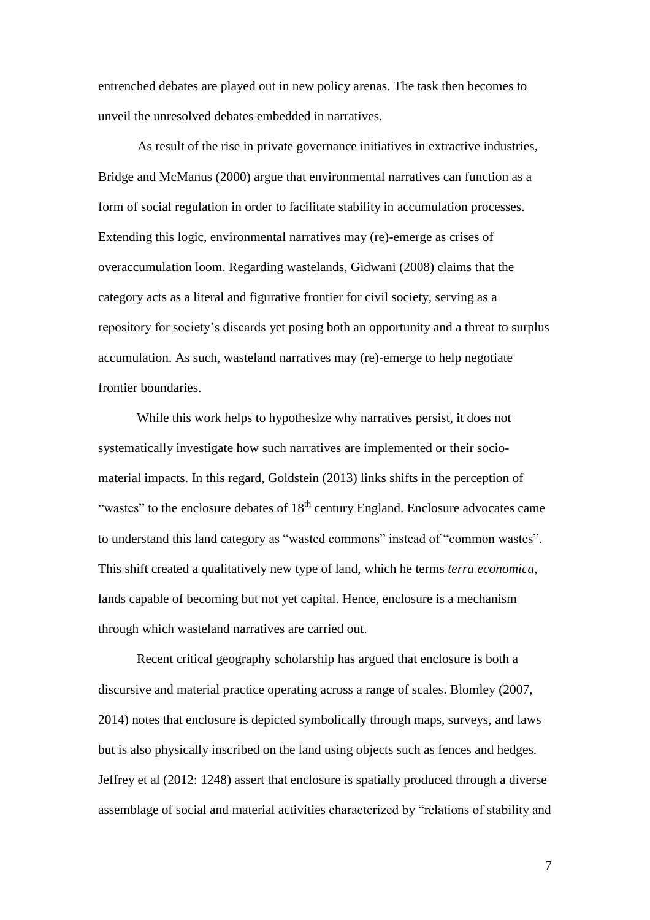entrenched debates are played out in new policy arenas. The task then becomes to unveil the unresolved debates embedded in narratives.

As result of the rise in private governance initiatives in extractive industries, Bridge and McManus (2000) argue that environmental narratives can function as a form of social regulation in order to facilitate stability in accumulation processes. Extending this logic, environmental narratives may (re)-emerge as crises of overaccumulation loom. Regarding wastelands, Gidwani (2008) claims that the category acts as a literal and figurative frontier for civil society, serving as a repository for society's discards yet posing both an opportunity and a threat to surplus accumulation. As such, wasteland narratives may (re)-emerge to help negotiate frontier boundaries.

While this work helps to hypothesize why narratives persist, it does not systematically investigate how such narratives are implemented or their sociomaterial impacts. In this regard, Goldstein (2013) links shifts in the perception of "wastes" to the enclosure debates of  $18<sup>th</sup>$  century England. Enclosure advocates came to understand this land category as "wasted commons" instead of "common wastes". This shift created a qualitatively new type of land, which he terms *terra economica*, lands capable of becoming but not yet capital. Hence, enclosure is a mechanism through which wasteland narratives are carried out.

Recent critical geography scholarship has argued that enclosure is both a discursive and material practice operating across a range of scales. Blomley (2007, 2014) notes that enclosure is depicted symbolically through maps, surveys, and laws but is also physically inscribed on the land using objects such as fences and hedges. Jeffrey et al (2012: 1248) assert that enclosure is spatially produced through a diverse assemblage of social and material activities characterized by "relations of stability and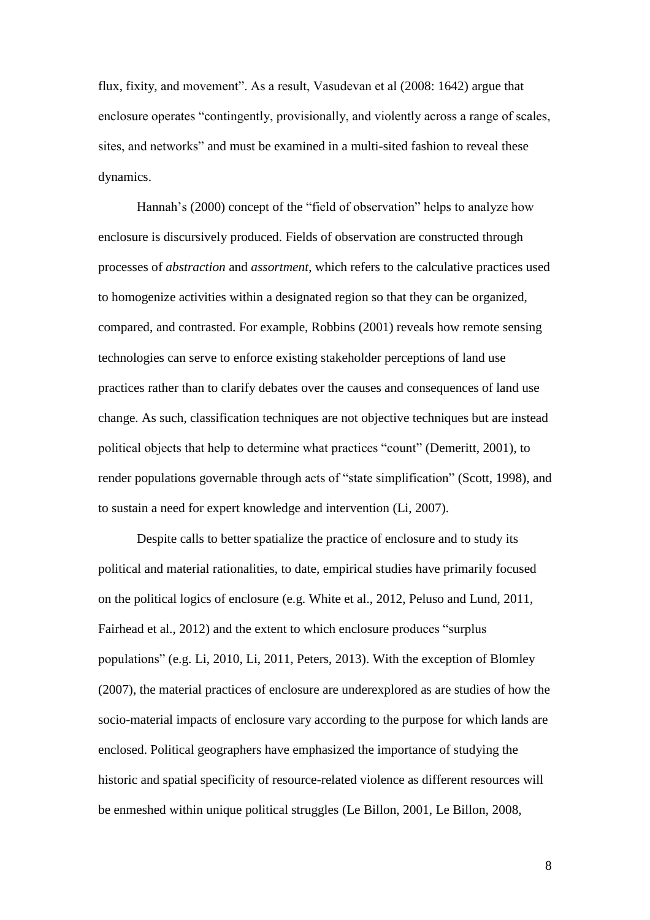flux, fixity, and movement". As a result, Vasudevan et al (2008: 1642) argue that enclosure operates "contingently, provisionally, and violently across a range of scales, sites, and networks" and must be examined in a multi-sited fashion to reveal these dynamics.

Hannah's (2000) concept of the "field of observation" helps to analyze how enclosure is discursively produced. Fields of observation are constructed through processes of *abstraction* and *assortment*, which refers to the calculative practices used to homogenize activities within a designated region so that they can be organized, compared, and contrasted. For example, Robbins (2001) reveals how remote sensing technologies can serve to enforce existing stakeholder perceptions of land use practices rather than to clarify debates over the causes and consequences of land use change. As such, classification techniques are not objective techniques but are instead political objects that help to determine what practices "count" (Demeritt, 2001), to render populations governable through acts of "state simplification" (Scott, 1998), and to sustain a need for expert knowledge and intervention (Li, 2007).

Despite calls to better spatialize the practice of enclosure and to study its political and material rationalities, to date, empirical studies have primarily focused on the political logics of enclosure (e.g. White et al., 2012, Peluso and Lund, 2011, Fairhead et al., 2012) and the extent to which enclosure produces "surplus populations" (e.g. Li, 2010, Li, 2011, Peters, 2013). With the exception of Blomley (2007), the material practices of enclosure are underexplored as are studies of how the socio-material impacts of enclosure vary according to the purpose for which lands are enclosed. Political geographers have emphasized the importance of studying the historic and spatial specificity of resource-related violence as different resources will be enmeshed within unique political struggles (Le Billon, 2001, Le Billon, 2008,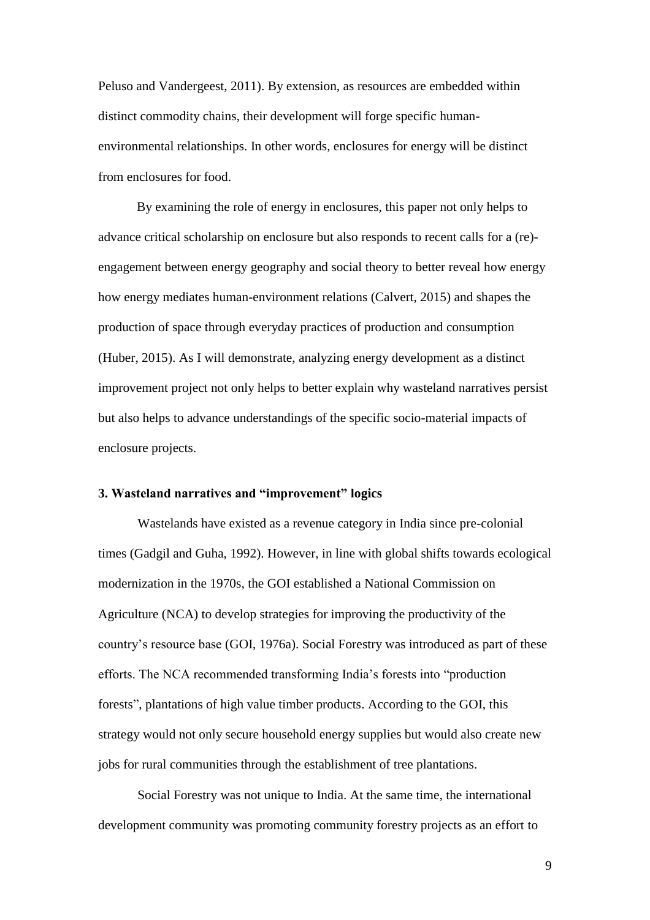Peluso and Vandergeest, 2011). By extension, as resources are embedded within distinct commodity chains, their development will forge specific humanenvironmental relationships. In other words, enclosures for energy will be distinct from enclosures for food.

By examining the role of energy in enclosures, this paper not only helps to advance critical scholarship on enclosure but also responds to recent calls for a (re) engagement between energy geography and social theory to better reveal how energy how energy mediates human-environment relations (Calvert, 2015) and shapes the production of space through everyday practices of production and consumption (Huber, 2015). As I will demonstrate, analyzing energy development as a distinct improvement project not only helps to better explain why wasteland narratives persist but also helps to advance understandings of the specific socio-material impacts of enclosure projects.

## **3. Wasteland narratives and "improvement" logics**

Wastelands have existed as a revenue category in India since pre-colonial times (Gadgil and Guha, 1992). However, in line with global shifts towards ecological modernization in the 1970s, the GOI established a National Commission on Agriculture (NCA) to develop strategies for improving the productivity of the country's resource base (GOI, 1976a). Social Forestry was introduced as part of these efforts. The NCA recommended transforming India's forests into "production forests", plantations of high value timber products. According to the GOI, this strategy would not only secure household energy supplies but would also create new jobs for rural communities through the establishment of tree plantations.

Social Forestry was not unique to India. At the same time, the international development community was promoting community forestry projects as an effort to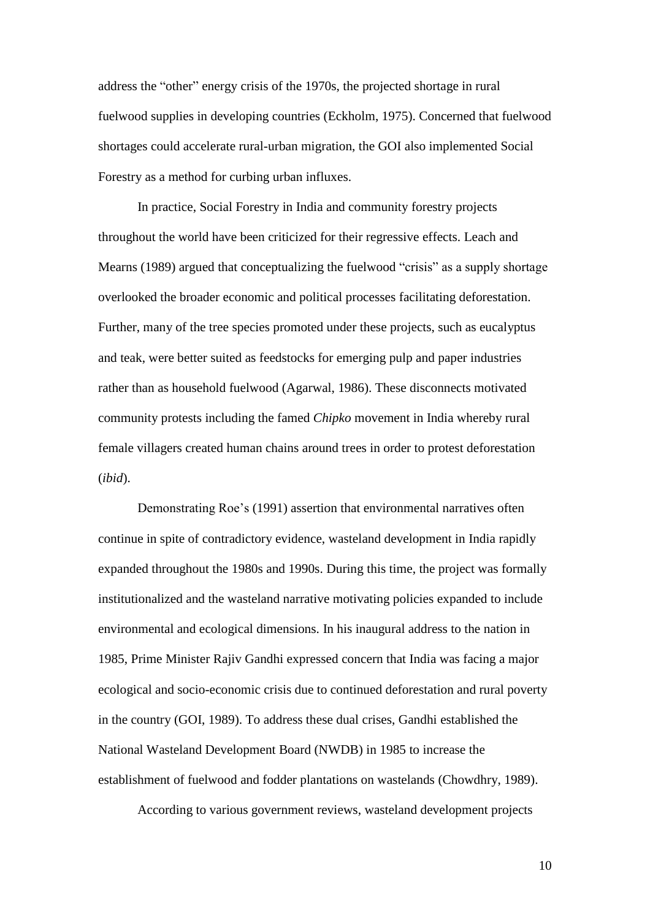address the "other" energy crisis of the 1970s, the projected shortage in rural fuelwood supplies in developing countries (Eckholm, 1975). Concerned that fuelwood shortages could accelerate rural-urban migration, the GOI also implemented Social Forestry as a method for curbing urban influxes.

In practice, Social Forestry in India and community forestry projects throughout the world have been criticized for their regressive effects. Leach and Mearns (1989) argued that conceptualizing the fuelwood "crisis" as a supply shortage overlooked the broader economic and political processes facilitating deforestation. Further, many of the tree species promoted under these projects, such as eucalyptus and teak, were better suited as feedstocks for emerging pulp and paper industries rather than as household fuelwood (Agarwal, 1986). These disconnects motivated community protests including the famed *Chipko* movement in India whereby rural female villagers created human chains around trees in order to protest deforestation (*ibid*).

Demonstrating Roe's (1991) assertion that environmental narratives often continue in spite of contradictory evidence, wasteland development in India rapidly expanded throughout the 1980s and 1990s. During this time, the project was formally institutionalized and the wasteland narrative motivating policies expanded to include environmental and ecological dimensions. In his inaugural address to the nation in 1985, Prime Minister Rajiv Gandhi expressed concern that India was facing a major ecological and socio-economic crisis due to continued deforestation and rural poverty in the country (GOI, 1989). To address these dual crises, Gandhi established the National Wasteland Development Board (NWDB) in 1985 to increase the establishment of fuelwood and fodder plantations on wastelands (Chowdhry, 1989).

According to various government reviews, wasteland development projects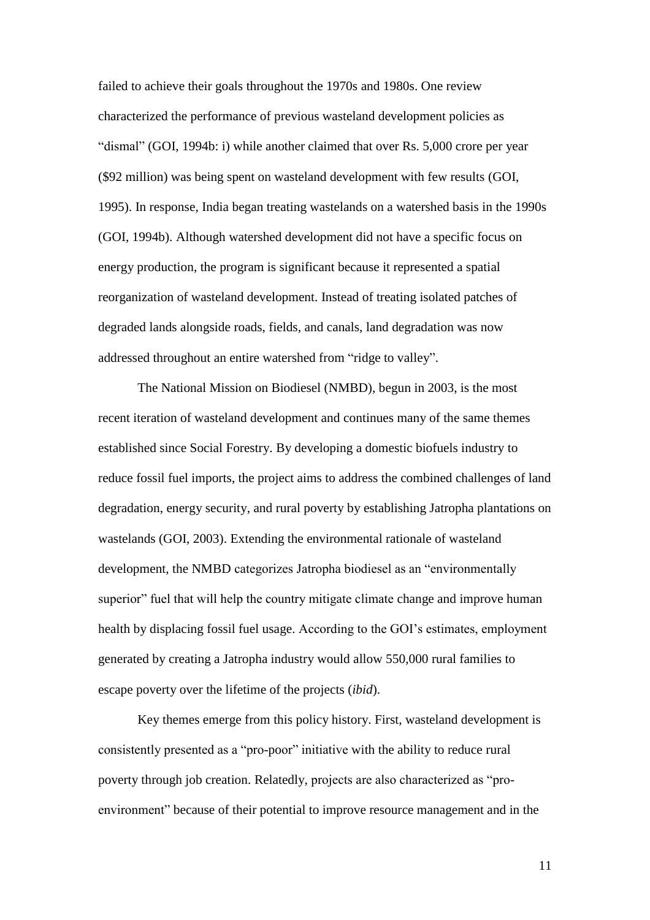failed to achieve their goals throughout the 1970s and 1980s. One review characterized the performance of previous wasteland development policies as "dismal" (GOI, 1994b: i) while another claimed that over Rs. 5,000 crore per year (\$92 million) was being spent on wasteland development with few results (GOI, 1995). In response, India began treating wastelands on a watershed basis in the 1990s (GOI, 1994b). Although watershed development did not have a specific focus on energy production, the program is significant because it represented a spatial reorganization of wasteland development. Instead of treating isolated patches of degraded lands alongside roads, fields, and canals, land degradation was now addressed throughout an entire watershed from "ridge to valley".

The National Mission on Biodiesel (NMBD), begun in 2003, is the most recent iteration of wasteland development and continues many of the same themes established since Social Forestry. By developing a domestic biofuels industry to reduce fossil fuel imports, the project aims to address the combined challenges of land degradation, energy security, and rural poverty by establishing Jatropha plantations on wastelands (GOI, 2003). Extending the environmental rationale of wasteland development, the NMBD categorizes Jatropha biodiesel as an "environmentally superior" fuel that will help the country mitigate climate change and improve human health by displacing fossil fuel usage. According to the GOI's estimates, employment generated by creating a Jatropha industry would allow 550,000 rural families to escape poverty over the lifetime of the projects (*ibid*).

Key themes emerge from this policy history. First, wasteland development is consistently presented as a "pro-poor" initiative with the ability to reduce rural poverty through job creation. Relatedly, projects are also characterized as "proenvironment" because of their potential to improve resource management and in the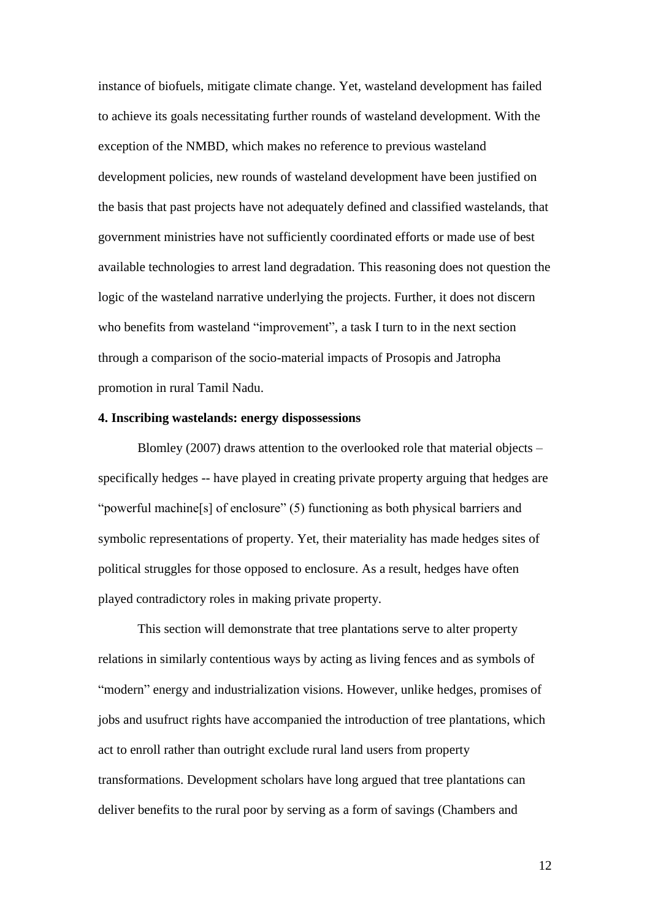instance of biofuels, mitigate climate change. Yet, wasteland development has failed to achieve its goals necessitating further rounds of wasteland development. With the exception of the NMBD, which makes no reference to previous wasteland development policies, new rounds of wasteland development have been justified on the basis that past projects have not adequately defined and classified wastelands, that government ministries have not sufficiently coordinated efforts or made use of best available technologies to arrest land degradation. This reasoning does not question the logic of the wasteland narrative underlying the projects. Further, it does not discern who benefits from wasteland "improvement", a task I turn to in the next section through a comparison of the socio-material impacts of Prosopis and Jatropha promotion in rural Tamil Nadu.

## **4. Inscribing wastelands: energy dispossessions**

Blomley (2007) draws attention to the overlooked role that material objects – specifically hedges -- have played in creating private property arguing that hedges are "powerful machine[s] of enclosure" (5) functioning as both physical barriers and symbolic representations of property. Yet, their materiality has made hedges sites of political struggles for those opposed to enclosure. As a result, hedges have often played contradictory roles in making private property.

This section will demonstrate that tree plantations serve to alter property relations in similarly contentious ways by acting as living fences and as symbols of "modern" energy and industrialization visions. However, unlike hedges, promises of jobs and usufruct rights have accompanied the introduction of tree plantations, which act to enroll rather than outright exclude rural land users from property transformations. Development scholars have long argued that tree plantations can deliver benefits to the rural poor by serving as a form of savings (Chambers and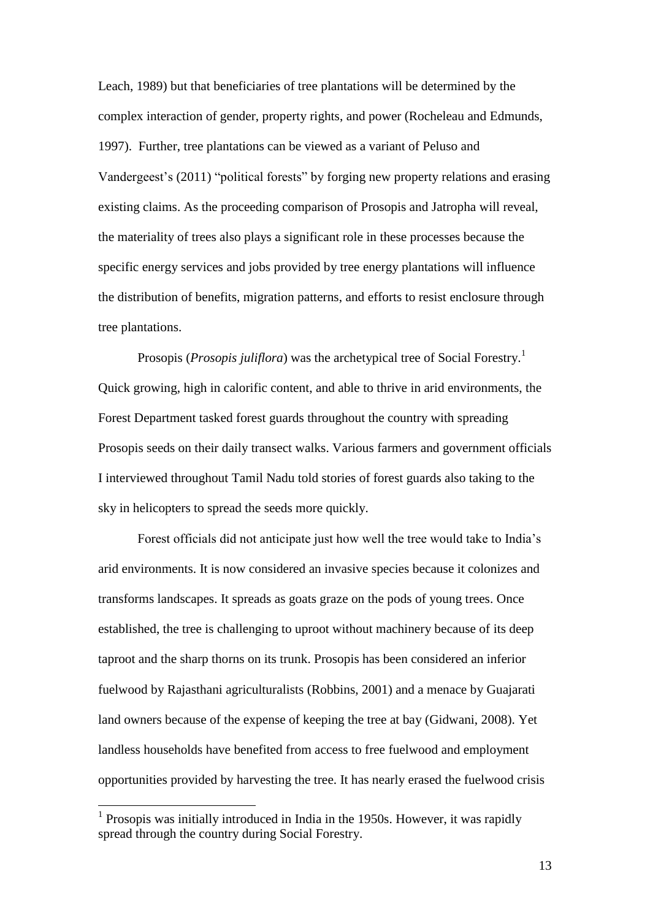Leach, 1989) but that beneficiaries of tree plantations will be determined by the complex interaction of gender, property rights, and power (Rocheleau and Edmunds, 1997). Further, tree plantations can be viewed as a variant of Peluso and Vandergeest's (2011) "political forests" by forging new property relations and erasing existing claims. As the proceeding comparison of Prosopis and Jatropha will reveal, the materiality of trees also plays a significant role in these processes because the specific energy services and jobs provided by tree energy plantations will influence the distribution of benefits, migration patterns, and efforts to resist enclosure through tree plantations.

Prosopis (*Prosopis juliflora*) was the archetypical tree of Social Forestry.<sup>1</sup> Quick growing, high in calorific content, and able to thrive in arid environments, the Forest Department tasked forest guards throughout the country with spreading Prosopis seeds on their daily transect walks. Various farmers and government officials I interviewed throughout Tamil Nadu told stories of forest guards also taking to the sky in helicopters to spread the seeds more quickly.

Forest officials did not anticipate just how well the tree would take to India's arid environments. It is now considered an invasive species because it colonizes and transforms landscapes. It spreads as goats graze on the pods of young trees. Once established, the tree is challenging to uproot without machinery because of its deep taproot and the sharp thorns on its trunk. Prosopis has been considered an inferior fuelwood by Rajasthani agriculturalists (Robbins, 2001) and a menace by Guajarati land owners because of the expense of keeping the tree at bay (Gidwani, 2008). Yet landless households have benefited from access to free fuelwood and employment opportunities provided by harvesting the tree. It has nearly erased the fuelwood crisis

 1 Prosopis was initially introduced in India in the 1950s. However, it was rapidly spread through the country during Social Forestry.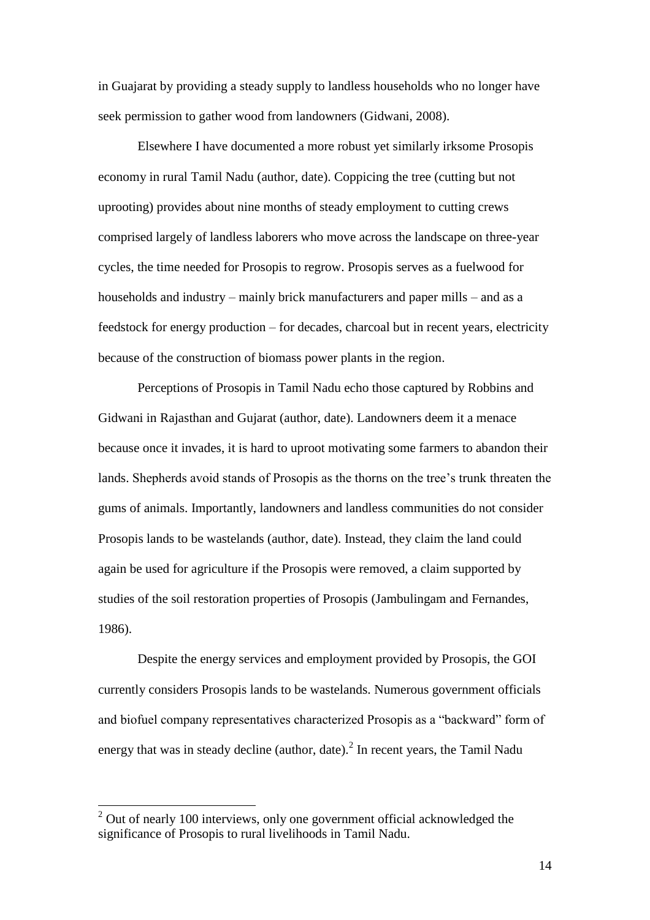in Guajarat by providing a steady supply to landless households who no longer have seek permission to gather wood from landowners (Gidwani, 2008).

Elsewhere I have documented a more robust yet similarly irksome Prosopis economy in rural Tamil Nadu (author, date). Coppicing the tree (cutting but not uprooting) provides about nine months of steady employment to cutting crews comprised largely of landless laborers who move across the landscape on three-year cycles, the time needed for Prosopis to regrow. Prosopis serves as a fuelwood for households and industry – mainly brick manufacturers and paper mills – and as a feedstock for energy production – for decades, charcoal but in recent years, electricity because of the construction of biomass power plants in the region.

Perceptions of Prosopis in Tamil Nadu echo those captured by Robbins and Gidwani in Rajasthan and Gujarat (author, date). Landowners deem it a menace because once it invades, it is hard to uproot motivating some farmers to abandon their lands. Shepherds avoid stands of Prosopis as the thorns on the tree's trunk threaten the gums of animals. Importantly, landowners and landless communities do not consider Prosopis lands to be wastelands (author, date). Instead, they claim the land could again be used for agriculture if the Prosopis were removed, a claim supported by studies of the soil restoration properties of Prosopis (Jambulingam and Fernandes, 1986).

Despite the energy services and employment provided by Prosopis, the GOI currently considers Prosopis lands to be wastelands. Numerous government officials and biofuel company representatives characterized Prosopis as a "backward" form of energy that was in steady decline (author, date). $^{2}$  In recent years, the Tamil Nadu

 $\overline{\phantom{a}}$ 

 $2$  Out of nearly 100 interviews, only one government official acknowledged the significance of Prosopis to rural livelihoods in Tamil Nadu.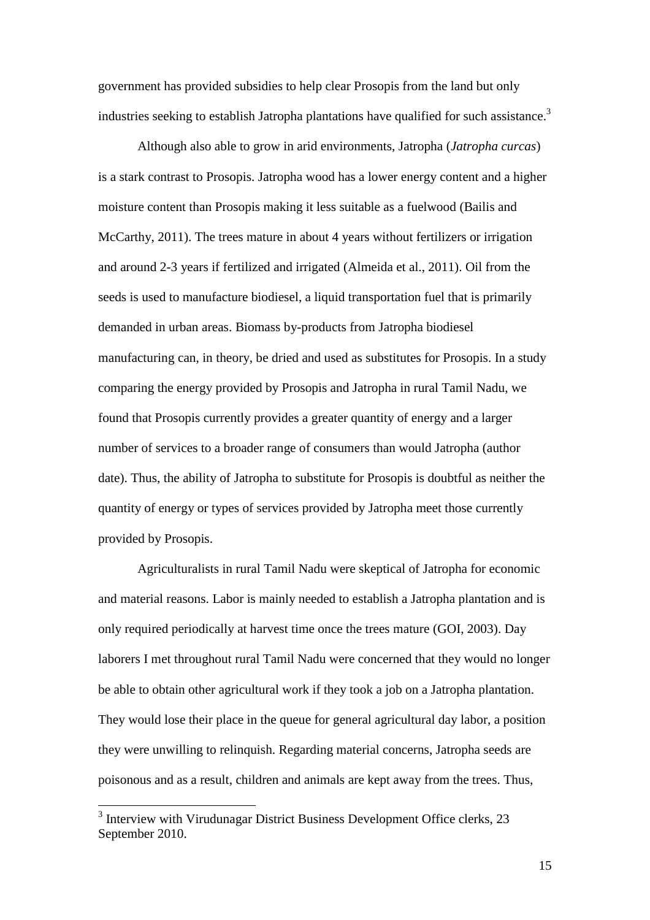government has provided subsidies to help clear Prosopis from the land but only industries seeking to establish Jatropha plantations have qualified for such assistance.<sup>3</sup>

Although also able to grow in arid environments, Jatropha (*Jatropha curcas*) is a stark contrast to Prosopis. Jatropha wood has a lower energy content and a higher moisture content than Prosopis making it less suitable as a fuelwood (Bailis and McCarthy, 2011). The trees mature in about 4 years without fertilizers or irrigation and around 2-3 years if fertilized and irrigated (Almeida et al., 2011). Oil from the seeds is used to manufacture biodiesel, a liquid transportation fuel that is primarily demanded in urban areas. Biomass by-products from Jatropha biodiesel manufacturing can, in theory, be dried and used as substitutes for Prosopis. In a study comparing the energy provided by Prosopis and Jatropha in rural Tamil Nadu, we found that Prosopis currently provides a greater quantity of energy and a larger number of services to a broader range of consumers than would Jatropha (author date). Thus, the ability of Jatropha to substitute for Prosopis is doubtful as neither the quantity of energy or types of services provided by Jatropha meet those currently provided by Prosopis.

Agriculturalists in rural Tamil Nadu were skeptical of Jatropha for economic and material reasons. Labor is mainly needed to establish a Jatropha plantation and is only required periodically at harvest time once the trees mature (GOI, 2003). Day laborers I met throughout rural Tamil Nadu were concerned that they would no longer be able to obtain other agricultural work if they took a job on a Jatropha plantation. They would lose their place in the queue for general agricultural day labor, a position they were unwilling to relinquish. Regarding material concerns, Jatropha seeds are poisonous and as a result, children and animals are kept away from the trees. Thus,

<sup>&</sup>lt;sup>3</sup> Interview with Virudunagar District Business Development Office clerks, 23 September 2010.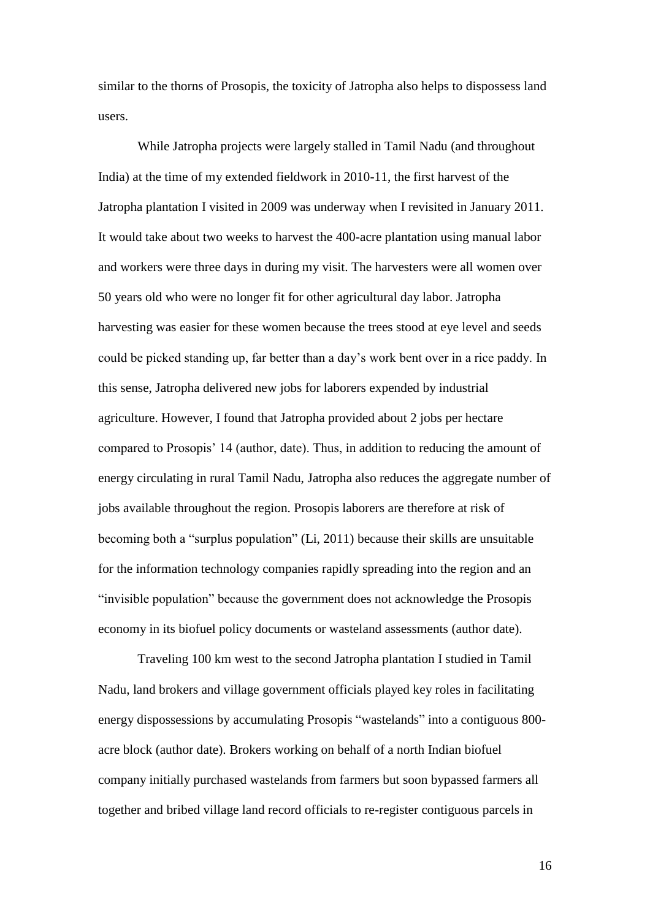similar to the thorns of Prosopis, the toxicity of Jatropha also helps to dispossess land users.

While Jatropha projects were largely stalled in Tamil Nadu (and throughout India) at the time of my extended fieldwork in 2010-11, the first harvest of the Jatropha plantation I visited in 2009 was underway when I revisited in January 2011. It would take about two weeks to harvest the 400-acre plantation using manual labor and workers were three days in during my visit. The harvesters were all women over 50 years old who were no longer fit for other agricultural day labor. Jatropha harvesting was easier for these women because the trees stood at eye level and seeds could be picked standing up, far better than a day's work bent over in a rice paddy. In this sense, Jatropha delivered new jobs for laborers expended by industrial agriculture. However, I found that Jatropha provided about 2 jobs per hectare compared to Prosopis' 14 (author, date). Thus, in addition to reducing the amount of energy circulating in rural Tamil Nadu, Jatropha also reduces the aggregate number of jobs available throughout the region. Prosopis laborers are therefore at risk of becoming both a "surplus population" (Li, 2011) because their skills are unsuitable for the information technology companies rapidly spreading into the region and an "invisible population" because the government does not acknowledge the Prosopis economy in its biofuel policy documents or wasteland assessments (author date).

Traveling 100 km west to the second Jatropha plantation I studied in Tamil Nadu, land brokers and village government officials played key roles in facilitating energy dispossessions by accumulating Prosopis "wastelands" into a contiguous 800 acre block (author date). Brokers working on behalf of a north Indian biofuel company initially purchased wastelands from farmers but soon bypassed farmers all together and bribed village land record officials to re-register contiguous parcels in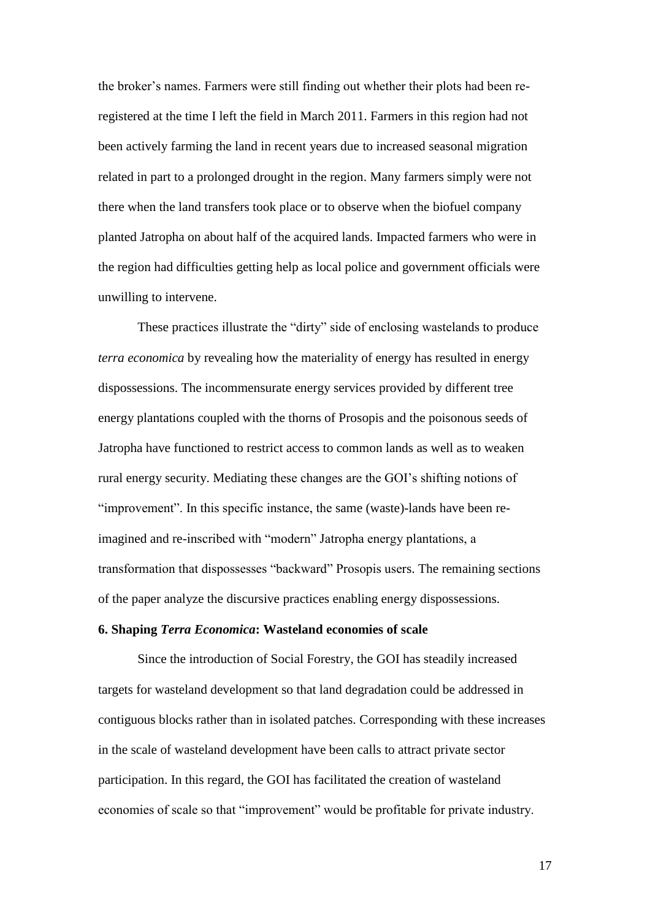the broker's names. Farmers were still finding out whether their plots had been reregistered at the time I left the field in March 2011. Farmers in this region had not been actively farming the land in recent years due to increased seasonal migration related in part to a prolonged drought in the region. Many farmers simply were not there when the land transfers took place or to observe when the biofuel company planted Jatropha on about half of the acquired lands. Impacted farmers who were in the region had difficulties getting help as local police and government officials were unwilling to intervene.

These practices illustrate the "dirty" side of enclosing wastelands to produce *terra economica* by revealing how the materiality of energy has resulted in energy dispossessions. The incommensurate energy services provided by different tree energy plantations coupled with the thorns of Prosopis and the poisonous seeds of Jatropha have functioned to restrict access to common lands as well as to weaken rural energy security. Mediating these changes are the GOI's shifting notions of "improvement". In this specific instance, the same (waste)-lands have been reimagined and re-inscribed with "modern" Jatropha energy plantations, a transformation that dispossesses "backward" Prosopis users. The remaining sections of the paper analyze the discursive practices enabling energy dispossessions.

## **6. Shaping** *Terra Economica***: Wasteland economies of scale**

Since the introduction of Social Forestry, the GOI has steadily increased targets for wasteland development so that land degradation could be addressed in contiguous blocks rather than in isolated patches. Corresponding with these increases in the scale of wasteland development have been calls to attract private sector participation. In this regard, the GOI has facilitated the creation of wasteland economies of scale so that "improvement" would be profitable for private industry.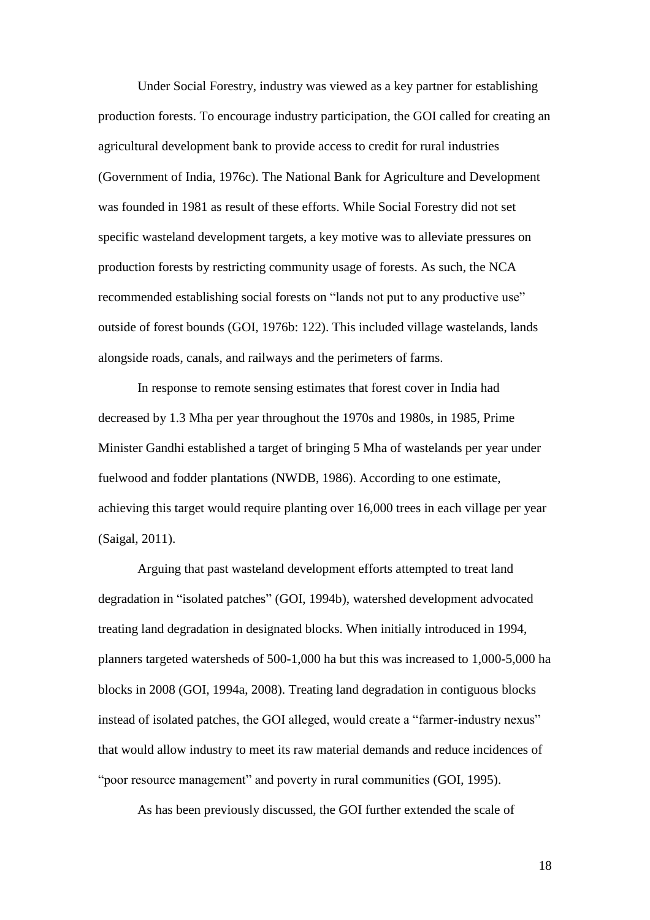Under Social Forestry, industry was viewed as a key partner for establishing production forests. To encourage industry participation, the GOI called for creating an agricultural development bank to provide access to credit for rural industries (Government of India, 1976c). The National Bank for Agriculture and Development was founded in 1981 as result of these efforts. While Social Forestry did not set specific wasteland development targets, a key motive was to alleviate pressures on production forests by restricting community usage of forests. As such, the NCA recommended establishing social forests on "lands not put to any productive use" outside of forest bounds (GOI, 1976b: 122). This included village wastelands, lands alongside roads, canals, and railways and the perimeters of farms.

In response to remote sensing estimates that forest cover in India had decreased by 1.3 Mha per year throughout the 1970s and 1980s, in 1985, Prime Minister Gandhi established a target of bringing 5 Mha of wastelands per year under fuelwood and fodder plantations (NWDB, 1986). According to one estimate, achieving this target would require planting over 16,000 trees in each village per year (Saigal, 2011).

Arguing that past wasteland development efforts attempted to treat land degradation in "isolated patches" (GOI, 1994b), watershed development advocated treating land degradation in designated blocks. When initially introduced in 1994, planners targeted watersheds of 500-1,000 ha but this was increased to 1,000-5,000 ha blocks in 2008 (GOI, 1994a, 2008). Treating land degradation in contiguous blocks instead of isolated patches, the GOI alleged, would create a "farmer-industry nexus" that would allow industry to meet its raw material demands and reduce incidences of "poor resource management" and poverty in rural communities (GOI, 1995).

As has been previously discussed, the GOI further extended the scale of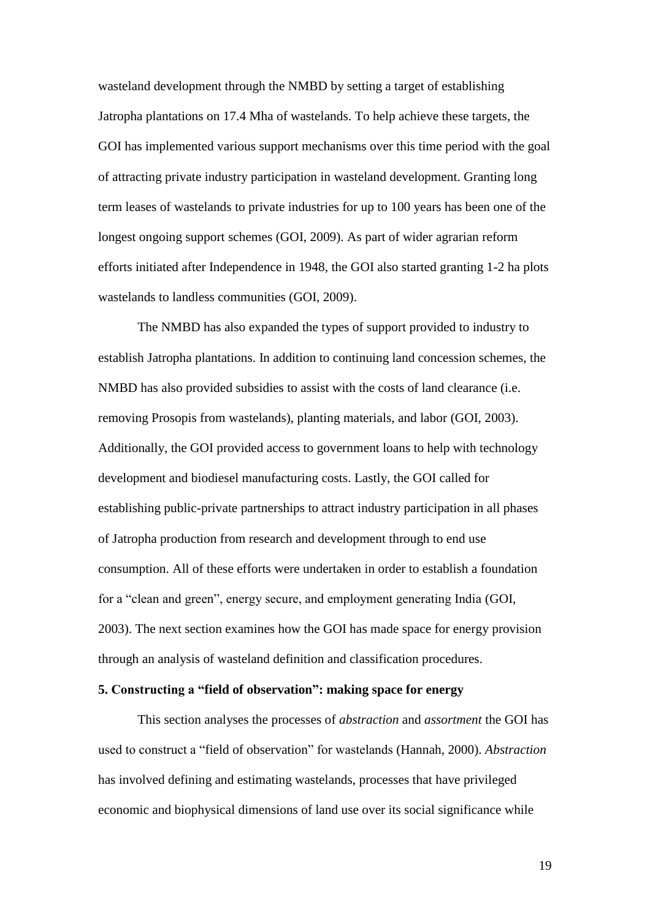wasteland development through the NMBD by setting a target of establishing Jatropha plantations on 17.4 Mha of wastelands. To help achieve these targets, the GOI has implemented various support mechanisms over this time period with the goal of attracting private industry participation in wasteland development. Granting long term leases of wastelands to private industries for up to 100 years has been one of the longest ongoing support schemes (GOI, 2009). As part of wider agrarian reform efforts initiated after Independence in 1948, the GOI also started granting 1-2 ha plots wastelands to landless communities (GOI, 2009).

The NMBD has also expanded the types of support provided to industry to establish Jatropha plantations. In addition to continuing land concession schemes, the NMBD has also provided subsidies to assist with the costs of land clearance (i.e. removing Prosopis from wastelands), planting materials, and labor (GOI, 2003). Additionally, the GOI provided access to government loans to help with technology development and biodiesel manufacturing costs. Lastly, the GOI called for establishing public-private partnerships to attract industry participation in all phases of Jatropha production from research and development through to end use consumption. All of these efforts were undertaken in order to establish a foundation for a "clean and green", energy secure, and employment generating India (GOI, 2003). The next section examines how the GOI has made space for energy provision through an analysis of wasteland definition and classification procedures.

# **5. Constructing a "field of observation": making space for energy**

This section analyses the processes of *abstraction* and *assortment* the GOI has used to construct a "field of observation" for wastelands (Hannah, 2000). *Abstraction* has involved defining and estimating wastelands, processes that have privileged economic and biophysical dimensions of land use over its social significance while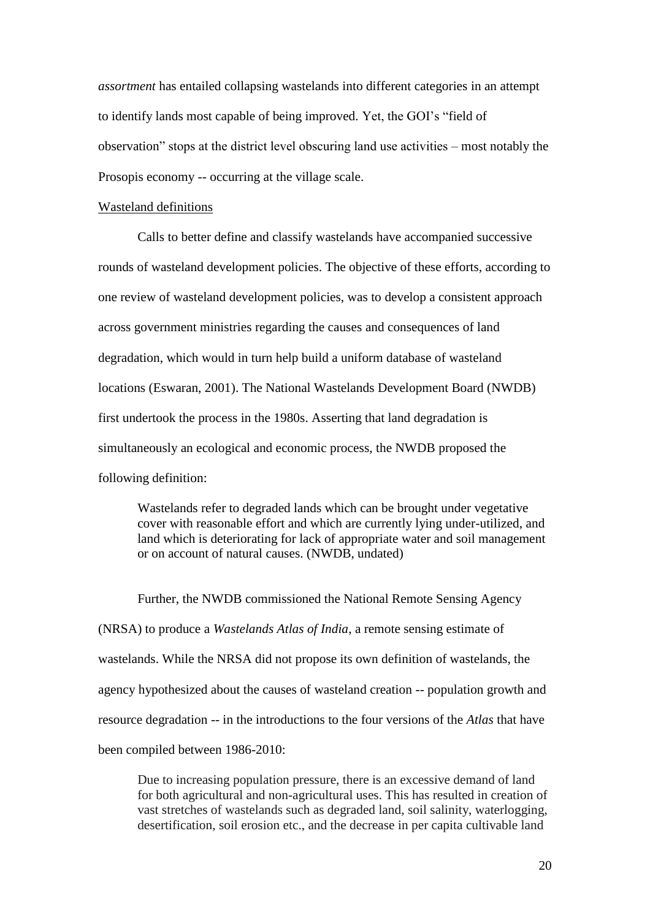*assortment* has entailed collapsing wastelands into different categories in an attempt to identify lands most capable of being improved. Yet, the GOI's "field of observation" stops at the district level obscuring land use activities – most notably the Prosopis economy -- occurring at the village scale.

#### Wasteland definitions

Calls to better define and classify wastelands have accompanied successive rounds of wasteland development policies. The objective of these efforts, according to one review of wasteland development policies, was to develop a consistent approach across government ministries regarding the causes and consequences of land degradation, which would in turn help build a uniform database of wasteland locations (Eswaran, 2001). The National Wastelands Development Board (NWDB) first undertook the process in the 1980s. Asserting that land degradation is simultaneously an ecological and economic process, the NWDB proposed the following definition:

Wastelands refer to degraded lands which can be brought under vegetative cover with reasonable effort and which are currently lying under-utilized, and land which is deteriorating for lack of appropriate water and soil management or on account of natural causes. (NWDB, undated)

Further, the NWDB commissioned the National Remote Sensing Agency (NRSA) to produce a *Wastelands Atlas of India*, a remote sensing estimate of wastelands. While the NRSA did not propose its own definition of wastelands, the agency hypothesized about the causes of wasteland creation -- population growth and resource degradation -- in the introductions to the four versions of the *Atlas* that have been compiled between 1986-2010:

Due to increasing population pressure, there is an excessive demand of land for both agricultural and non-agricultural uses. This has resulted in creation of vast stretches of wastelands such as degraded land, soil salinity, waterlogging, desertification, soil erosion etc., and the decrease in per capita cultivable land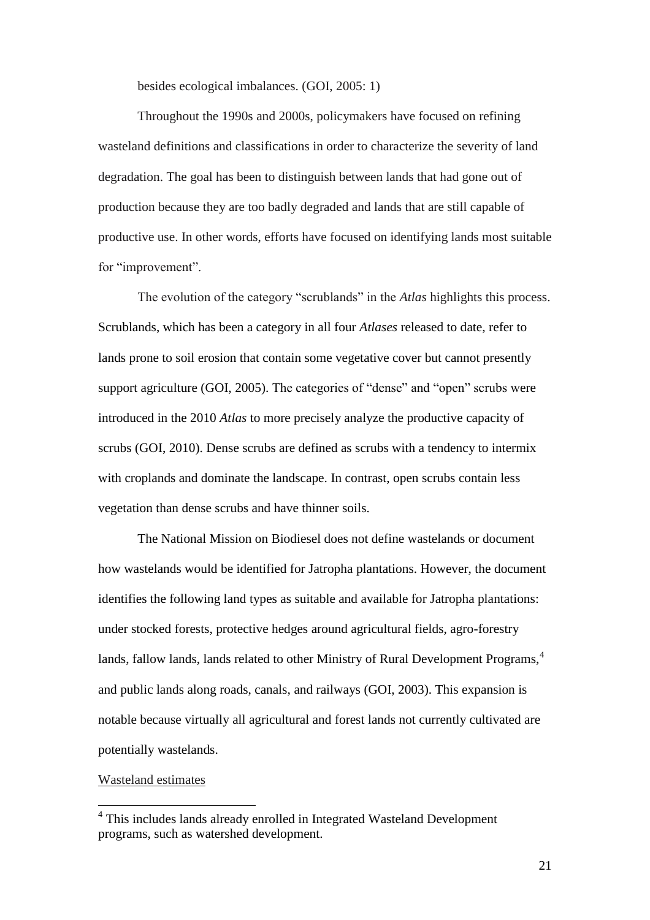besides ecological imbalances. (GOI, 2005: 1)

Throughout the 1990s and 2000s, policymakers have focused on refining wasteland definitions and classifications in order to characterize the severity of land degradation. The goal has been to distinguish between lands that had gone out of production because they are too badly degraded and lands that are still capable of productive use. In other words, efforts have focused on identifying lands most suitable for "improvement".

The evolution of the category "scrublands" in the *Atlas* highlights this process. Scrublands, which has been a category in all four *Atlases* released to date, refer to lands prone to soil erosion that contain some vegetative cover but cannot presently support agriculture (GOI, 2005). The categories of "dense" and "open" scrubs were introduced in the 2010 *Atlas* to more precisely analyze the productive capacity of scrubs (GOI, 2010). Dense scrubs are defined as scrubs with a tendency to intermix with croplands and dominate the landscape. In contrast, open scrubs contain less vegetation than dense scrubs and have thinner soils.

The National Mission on Biodiesel does not define wastelands or document how wastelands would be identified for Jatropha plantations. However, the document identifies the following land types as suitable and available for Jatropha plantations: under stocked forests, protective hedges around agricultural fields, agro-forestry lands, fallow lands, lands related to other Ministry of Rural Development Programs,<sup>4</sup> and public lands along roads, canals, and railways (GOI, 2003). This expansion is notable because virtually all agricultural and forest lands not currently cultivated are potentially wastelands.

## Wasteland estimates

 4 This includes lands already enrolled in Integrated Wasteland Development programs, such as watershed development.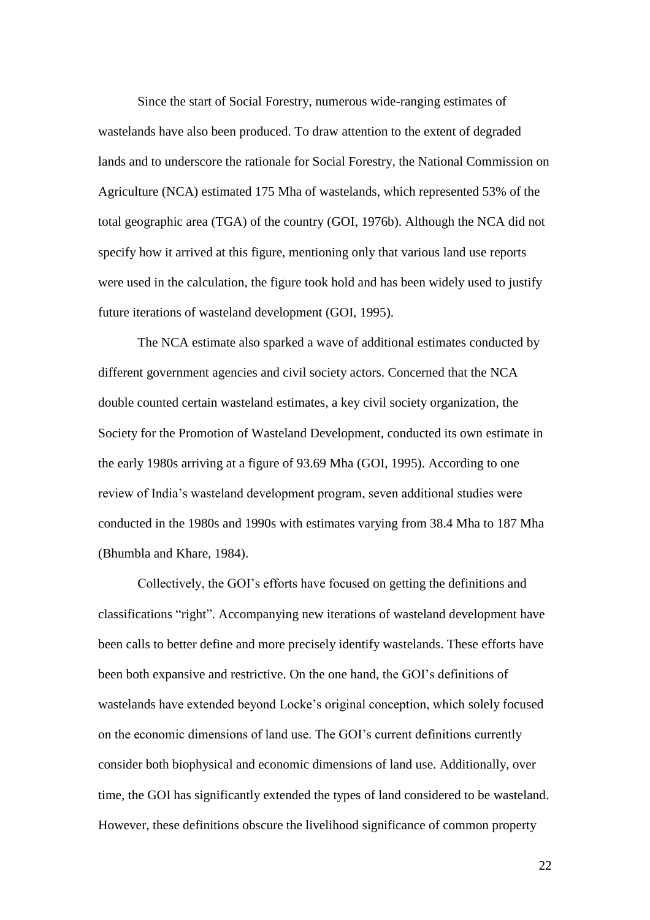Since the start of Social Forestry, numerous wide-ranging estimates of wastelands have also been produced. To draw attention to the extent of degraded lands and to underscore the rationale for Social Forestry, the National Commission on Agriculture (NCA) estimated 175 Mha of wastelands, which represented 53% of the total geographic area (TGA) of the country (GOI, 1976b). Although the NCA did not specify how it arrived at this figure, mentioning only that various land use reports were used in the calculation, the figure took hold and has been widely used to justify future iterations of wasteland development (GOI, 1995).

The NCA estimate also sparked a wave of additional estimates conducted by different government agencies and civil society actors. Concerned that the NCA double counted certain wasteland estimates, a key civil society organization, the Society for the Promotion of Wasteland Development, conducted its own estimate in the early 1980s arriving at a figure of 93.69 Mha (GOI, 1995). According to one review of India's wasteland development program, seven additional studies were conducted in the 1980s and 1990s with estimates varying from 38.4 Mha to 187 Mha (Bhumbla and Khare, 1984).

Collectively, the GOI's efforts have focused on getting the definitions and classifications "right". Accompanying new iterations of wasteland development have been calls to better define and more precisely identify wastelands. These efforts have been both expansive and restrictive. On the one hand, the GOI's definitions of wastelands have extended beyond Locke's original conception, which solely focused on the economic dimensions of land use. The GOI's current definitions currently consider both biophysical and economic dimensions of land use. Additionally, over time, the GOI has significantly extended the types of land considered to be wasteland. However, these definitions obscure the livelihood significance of common property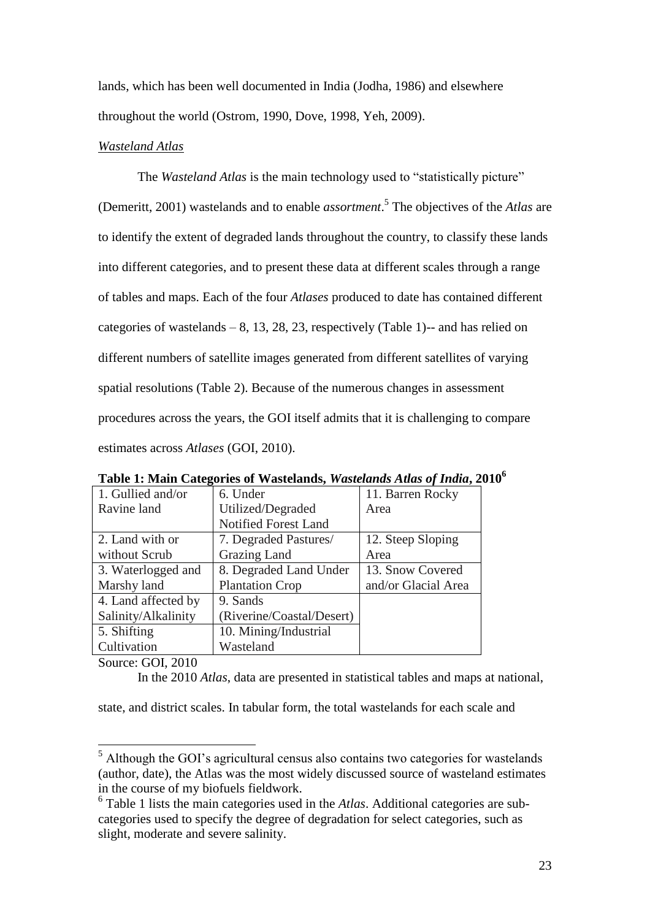lands, which has been well documented in India (Jodha, 1986) and elsewhere throughout the world (Ostrom, 1990, Dove, 1998, Yeh, 2009).

## *Wasteland Atlas*

The *Wasteland Atlas* is the main technology used to "statistically picture" (Demeritt, 2001) wastelands and to enable *assortment*. 5 The objectives of the *Atlas* are to identify the extent of degraded lands throughout the country, to classify these lands into different categories, and to present these data at different scales through a range of tables and maps. Each of the four *Atlases* produced to date has contained different categories of wastelands  $-8$ , 13, 28, 23, respectively (Table 1)-- and has relied on different numbers of satellite images generated from different satellites of varying spatial resolutions (Table 2). Because of the numerous changes in assessment procedures across the years, the GOI itself admits that it is challenging to compare estimates across *Atlases* (GOI, 2010).

| 1. Gullied and/or   | 6. Under                    | 11. Barren Rocky    |  |
|---------------------|-----------------------------|---------------------|--|
| Ravine land         | Utilized/Degraded           | Area                |  |
|                     | <b>Notified Forest Land</b> |                     |  |
| 2. Land with or     | 7. Degraded Pastures/       | 12. Steep Sloping   |  |
| without Scrub       | Grazing Land                | Area                |  |
| 3. Waterlogged and  | 8. Degraded Land Under      | 13. Snow Covered    |  |
| Marshy land         | <b>Plantation Crop</b>      | and/or Glacial Area |  |
| 4. Land affected by | 9. Sands                    |                     |  |
| Salinity/Alkalinity | (Riverine/Coastal/Desert)   |                     |  |
| 5. Shifting         | 10. Mining/Industrial       |                     |  |
| Cultivation         | Wasteland                   |                     |  |

**Table 1: Main Categories of Wastelands,** *Wastelands Atlas of India***, 2010<sup>6</sup>**

Source: GOI, 2010

 $\overline{\phantom{a}}$ 

In the 2010 *Atlas*, data are presented in statistical tables and maps at national,

state, and district scales. In tabular form, the total wastelands for each scale and

<sup>&</sup>lt;sup>5</sup> Although the GOI's agricultural census also contains two categories for wastelands (author, date), the Atlas was the most widely discussed source of wasteland estimates in the course of my biofuels fieldwork.

<sup>6</sup> Table 1 lists the main categories used in the *Atlas*. Additional categories are subcategories used to specify the degree of degradation for select categories, such as slight, moderate and severe salinity.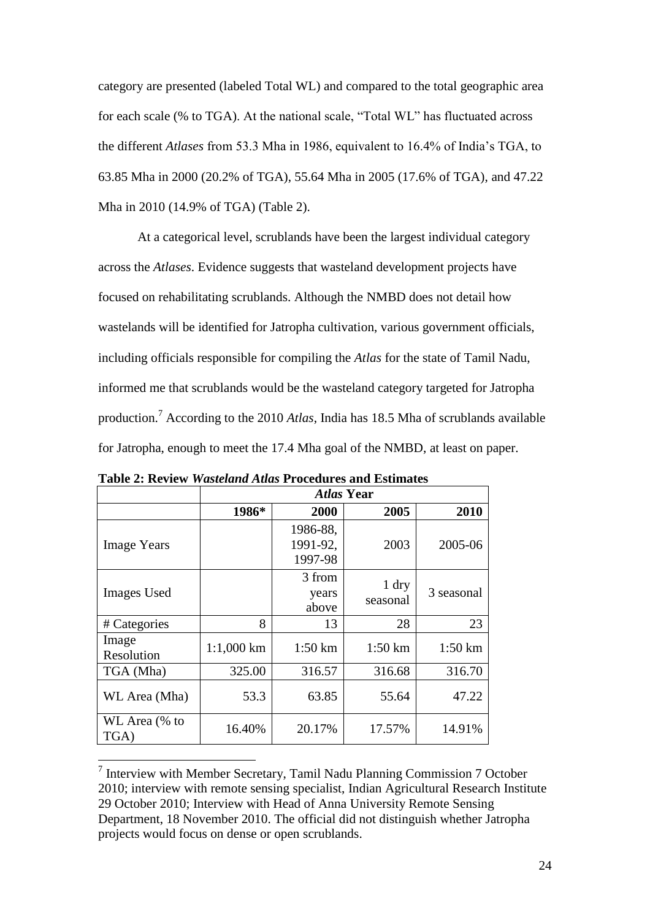category are presented (labeled Total WL) and compared to the total geographic area for each scale (% to TGA). At the national scale, "Total WL" has fluctuated across the different *Atlases* from 53.3 Mha in 1986, equivalent to 16.4% of India's TGA, to 63.85 Mha in 2000 (20.2% of TGA), 55.64 Mha in 2005 (17.6% of TGA), and 47.22 Mha in 2010 (14.9% of TGA) (Table 2).

At a categorical level, scrublands have been the largest individual category across the *Atlases*. Evidence suggests that wasteland development projects have focused on rehabilitating scrublands. Although the NMBD does not detail how wastelands will be identified for Jatropha cultivation, various government officials, including officials responsible for compiling the *Atlas* for the state of Tamil Nadu, informed me that scrublands would be the wasteland category targeted for Jatropha production.<sup>7</sup> According to the 2010 *Atlas*, India has 18.5 Mha of scrublands available for Jatropha, enough to meet the 17.4 Mha goal of the NMBD, at least on paper.

|                       | <b>Atlas Year</b> |                                 |                     |                    |  |
|-----------------------|-------------------|---------------------------------|---------------------|--------------------|--|
|                       | 1986*             | 2000                            | 2005                | 2010               |  |
| <b>Image Years</b>    |                   | 1986-88,<br>1991-92,<br>1997-98 | 2003                | 2005-06            |  |
| <b>Images</b> Used    |                   | 3 from<br>years<br>above        | $1$ dry<br>seasonal | 3 seasonal         |  |
| # Categories          | 8                 | 13                              | 28                  | 23                 |  |
| Image<br>Resolution   | $1:1,000$ km      | $1:50 \mathrm{km}$              | $1:50 \mathrm{km}$  | $1:50 \mathrm{km}$ |  |
| TGA (Mha)             | 325.00            | 316.57                          | 316.68              | 316.70             |  |
| WL Area (Mha)         | 53.3              | 63.85                           | 55.64               | 47.22              |  |
| WL Area (% to<br>TGA) | 16.40%            | 20.17%                          | 17.57%              | 14.91%             |  |

**Table 2: Review** *Wasteland Atlas* **Procedures and Estimates**

 7 Interview with Member Secretary, Tamil Nadu Planning Commission 7 October 2010; interview with remote sensing specialist, Indian Agricultural Research Institute 29 October 2010; Interview with Head of Anna University Remote Sensing Department, 18 November 2010. The official did not distinguish whether Jatropha projects would focus on dense or open scrublands.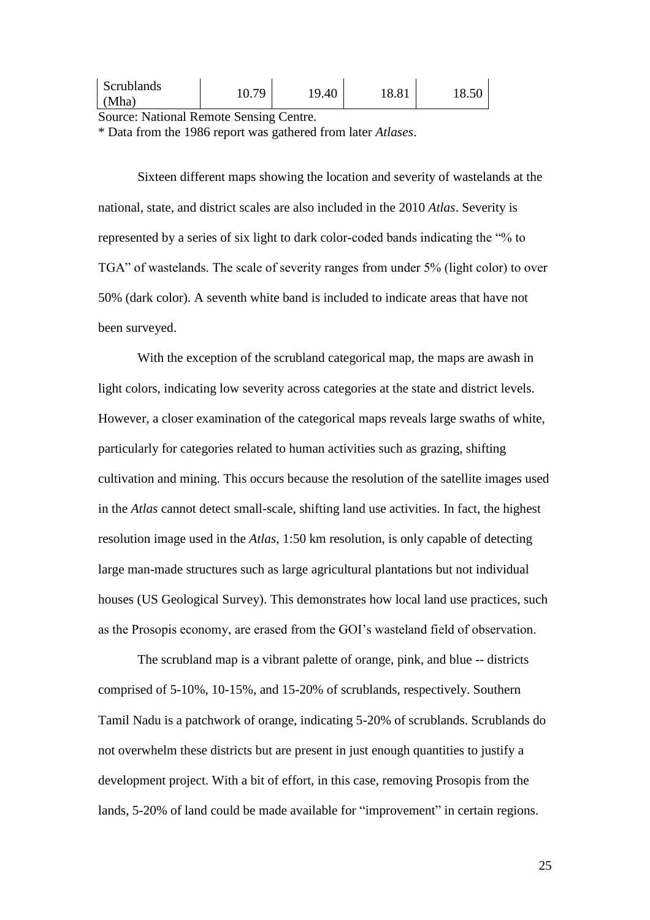| Scrublands<br>70<br>O <sub>1</sub><br>.9.40<br>10.01<br>(Mha) |  |
|---------------------------------------------------------------|--|
|---------------------------------------------------------------|--|

Source: National Remote Sensing Centre.

\* Data from the 1986 report was gathered from later *Atlases*.

Sixteen different maps showing the location and severity of wastelands at the national, state, and district scales are also included in the 2010 *Atlas*. Severity is represented by a series of six light to dark color-coded bands indicating the "% to TGA" of wastelands. The scale of severity ranges from under 5% (light color) to over 50% (dark color). A seventh white band is included to indicate areas that have not been surveyed.

With the exception of the scrubland categorical map, the maps are awash in light colors, indicating low severity across categories at the state and district levels. However, a closer examination of the categorical maps reveals large swaths of white, particularly for categories related to human activities such as grazing, shifting cultivation and mining. This occurs because the resolution of the satellite images used in the *Atlas* cannot detect small-scale, shifting land use activities. In fact, the highest resolution image used in the *Atlas*, 1:50 km resolution, is only capable of detecting large man-made structures such as large agricultural plantations but not individual houses (US Geological Survey). This demonstrates how local land use practices, such as the Prosopis economy, are erased from the GOI's wasteland field of observation.

The scrubland map is a vibrant palette of orange, pink, and blue -- districts comprised of 5-10%, 10-15%, and 15-20% of scrublands, respectively. Southern Tamil Nadu is a patchwork of orange, indicating 5-20% of scrublands. Scrublands do not overwhelm these districts but are present in just enough quantities to justify a development project. With a bit of effort, in this case, removing Prosopis from the lands, 5-20% of land could be made available for "improvement" in certain regions.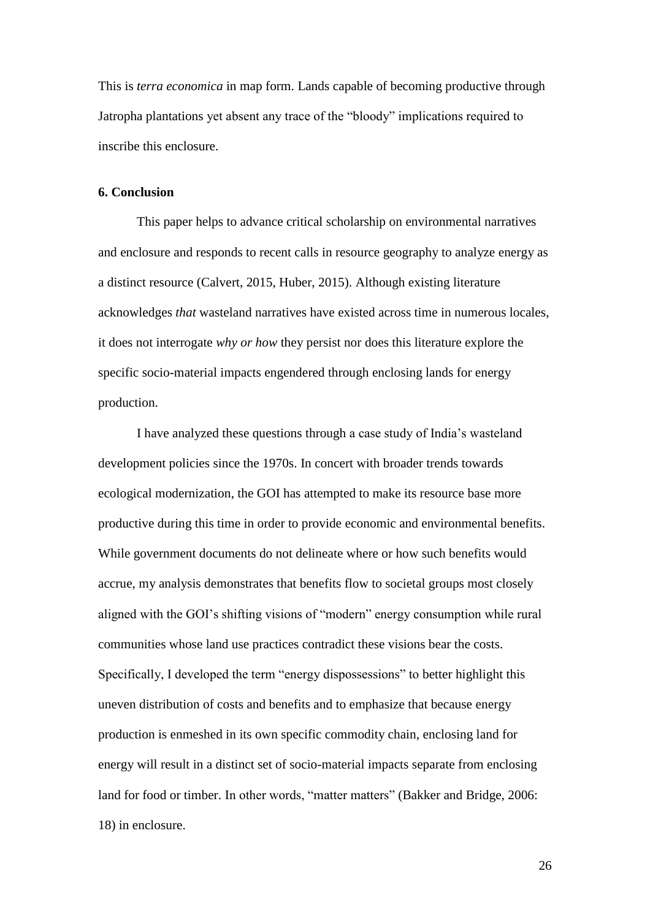This is *terra economica* in map form. Lands capable of becoming productive through Jatropha plantations yet absent any trace of the "bloody" implications required to inscribe this enclosure.

## **6. Conclusion**

This paper helps to advance critical scholarship on environmental narratives and enclosure and responds to recent calls in resource geography to analyze energy as a distinct resource (Calvert, 2015, Huber, 2015). Although existing literature acknowledges *that* wasteland narratives have existed across time in numerous locales, it does not interrogate *why or how* they persist nor does this literature explore the specific socio-material impacts engendered through enclosing lands for energy production.

I have analyzed these questions through a case study of India's wasteland development policies since the 1970s. In concert with broader trends towards ecological modernization, the GOI has attempted to make its resource base more productive during this time in order to provide economic and environmental benefits. While government documents do not delineate where or how such benefits would accrue, my analysis demonstrates that benefits flow to societal groups most closely aligned with the GOI's shifting visions of "modern" energy consumption while rural communities whose land use practices contradict these visions bear the costs. Specifically, I developed the term "energy dispossessions" to better highlight this uneven distribution of costs and benefits and to emphasize that because energy production is enmeshed in its own specific commodity chain, enclosing land for energy will result in a distinct set of socio-material impacts separate from enclosing land for food or timber. In other words, "matter matters" (Bakker and Bridge, 2006: 18) in enclosure.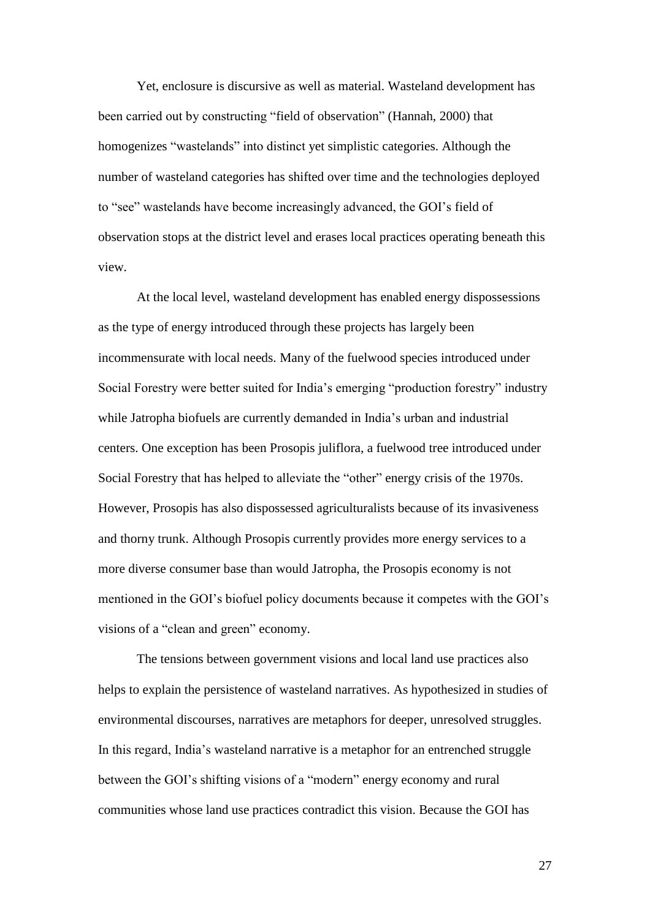Yet, enclosure is discursive as well as material. Wasteland development has been carried out by constructing "field of observation" (Hannah, 2000) that homogenizes "wastelands" into distinct yet simplistic categories. Although the number of wasteland categories has shifted over time and the technologies deployed to "see" wastelands have become increasingly advanced, the GOI's field of observation stops at the district level and erases local practices operating beneath this view.

At the local level, wasteland development has enabled energy dispossessions as the type of energy introduced through these projects has largely been incommensurate with local needs. Many of the fuelwood species introduced under Social Forestry were better suited for India's emerging "production forestry" industry while Jatropha biofuels are currently demanded in India's urban and industrial centers. One exception has been Prosopis juliflora, a fuelwood tree introduced under Social Forestry that has helped to alleviate the "other" energy crisis of the 1970s. However, Prosopis has also dispossessed agriculturalists because of its invasiveness and thorny trunk. Although Prosopis currently provides more energy services to a more diverse consumer base than would Jatropha, the Prosopis economy is not mentioned in the GOI's biofuel policy documents because it competes with the GOI's visions of a "clean and green" economy.

The tensions between government visions and local land use practices also helps to explain the persistence of wasteland narratives. As hypothesized in studies of environmental discourses, narratives are metaphors for deeper, unresolved struggles. In this regard, India's wasteland narrative is a metaphor for an entrenched struggle between the GOI's shifting visions of a "modern" energy economy and rural communities whose land use practices contradict this vision. Because the GOI has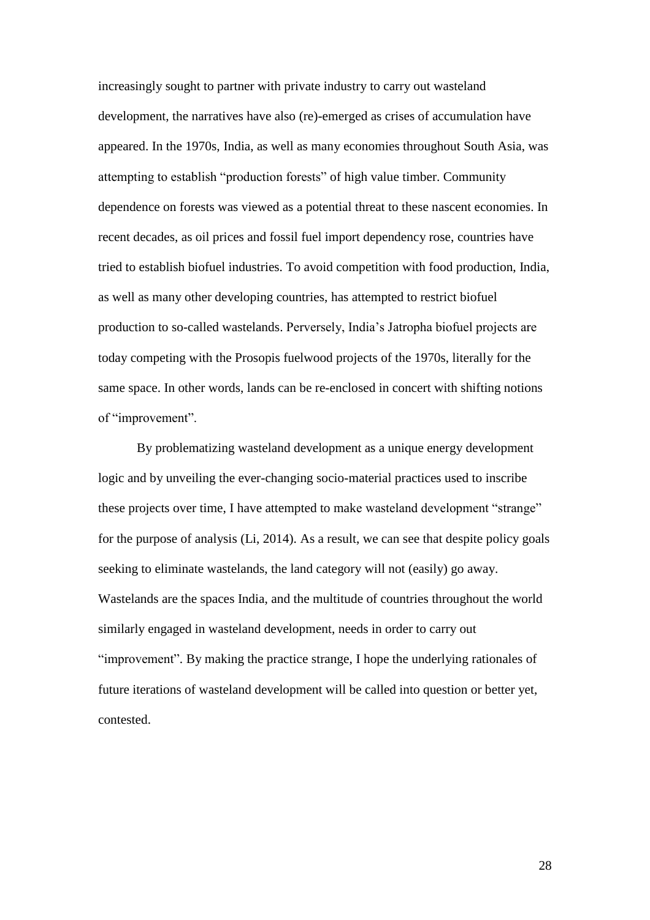increasingly sought to partner with private industry to carry out wasteland development, the narratives have also (re)-emerged as crises of accumulation have appeared. In the 1970s, India, as well as many economies throughout South Asia, was attempting to establish "production forests" of high value timber. Community dependence on forests was viewed as a potential threat to these nascent economies. In recent decades, as oil prices and fossil fuel import dependency rose, countries have tried to establish biofuel industries. To avoid competition with food production, India, as well as many other developing countries, has attempted to restrict biofuel production to so-called wastelands. Perversely, India's Jatropha biofuel projects are today competing with the Prosopis fuelwood projects of the 1970s, literally for the same space. In other words, lands can be re-enclosed in concert with shifting notions of "improvement".

By problematizing wasteland development as a unique energy development logic and by unveiling the ever-changing socio-material practices used to inscribe these projects over time, I have attempted to make wasteland development "strange" for the purpose of analysis (Li, 2014). As a result, we can see that despite policy goals seeking to eliminate wastelands, the land category will not (easily) go away. Wastelands are the spaces India, and the multitude of countries throughout the world similarly engaged in wasteland development, needs in order to carry out "improvement". By making the practice strange, I hope the underlying rationales of future iterations of wasteland development will be called into question or better yet, contested.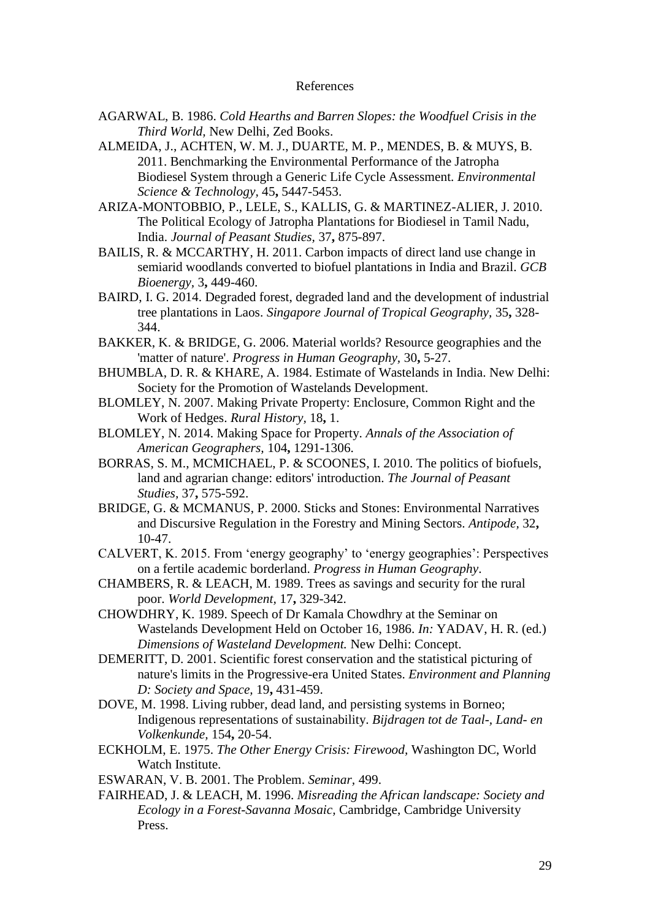## References

- AGARWAL, B. 1986. *Cold Hearths and Barren Slopes: the Woodfuel Crisis in the Third World,* New Delhi, Zed Books.
- ALMEIDA, J., ACHTEN, W. M. J., DUARTE, M. P., MENDES, B. & MUYS, B. 2011. Benchmarking the Environmental Performance of the Jatropha Biodiesel System through a Generic Life Cycle Assessment. *Environmental Science & Technology,* 45**,** 5447-5453.
- ARIZA-MONTOBBIO, P., LELE, S., KALLIS, G. & MARTINEZ-ALIER, J. 2010. The Political Ecology of Jatropha Plantations for Biodiesel in Tamil Nadu, India. *Journal of Peasant Studies,* 37**,** 875-897.
- BAILIS, R. & MCCARTHY, H. 2011. Carbon impacts of direct land use change in semiarid woodlands converted to biofuel plantations in India and Brazil. *GCB Bioenergy,* 3**,** 449-460.
- BAIRD, I. G. 2014. Degraded forest, degraded land and the development of industrial tree plantations in Laos. *Singapore Journal of Tropical Geography,* 35**,** 328- 344.
- BAKKER, K. & BRIDGE, G. 2006. Material worlds? Resource geographies and the 'matter of nature'. *Progress in Human Geography,* 30**,** 5-27.
- BHUMBLA, D. R. & KHARE, A. 1984. Estimate of Wastelands in India. New Delhi: Society for the Promotion of Wastelands Development.
- BLOMLEY, N. 2007. Making Private Property: Enclosure, Common Right and the Work of Hedges. *Rural History,* 18**,** 1.
- BLOMLEY, N. 2014. Making Space for Property. *Annals of the Association of American Geographers,* 104**,** 1291-1306.
- BORRAS, S. M., MCMICHAEL, P. & SCOONES, I. 2010. The politics of biofuels, land and agrarian change: editors' introduction. *The Journal of Peasant Studies,* 37**,** 575-592.
- BRIDGE, G. & MCMANUS, P. 2000. Sticks and Stones: Environmental Narratives and Discursive Regulation in the Forestry and Mining Sectors. *Antipode,* 32**,** 10-47.
- CALVERT, K. 2015. From 'energy geography' to 'energy geographies': Perspectives on a fertile academic borderland. *Progress in Human Geography*.
- CHAMBERS, R. & LEACH, M. 1989. Trees as savings and security for the rural poor. *World Development,* 17**,** 329-342.
- CHOWDHRY, K. 1989. Speech of Dr Kamala Chowdhry at the Seminar on Wastelands Development Held on October 16, 1986. *In:* YADAV, H. R. (ed.) *Dimensions of Wasteland Development.* New Delhi: Concept.
- DEMERITT, D. 2001. Scientific forest conservation and the statistical picturing of nature's limits in the Progressive-era United States. *Environment and Planning D: Society and Space,* 19**,** 431-459.
- DOVE, M. 1998. Living rubber, dead land, and persisting systems in Borneo; Indigenous representations of sustainability. *Bijdragen tot de Taal-, Land- en Volkenkunde,* 154**,** 20-54.
- ECKHOLM, E. 1975. *The Other Energy Crisis: Firewood,* Washington DC, World Watch Institute.
- ESWARAN, V. B. 2001. The Problem. *Seminar,* 499.
- FAIRHEAD, J. & LEACH, M. 1996. *Misreading the African landscape: Society and Ecology in a Forest-Savanna Mosaic,* Cambridge, Cambridge University Press.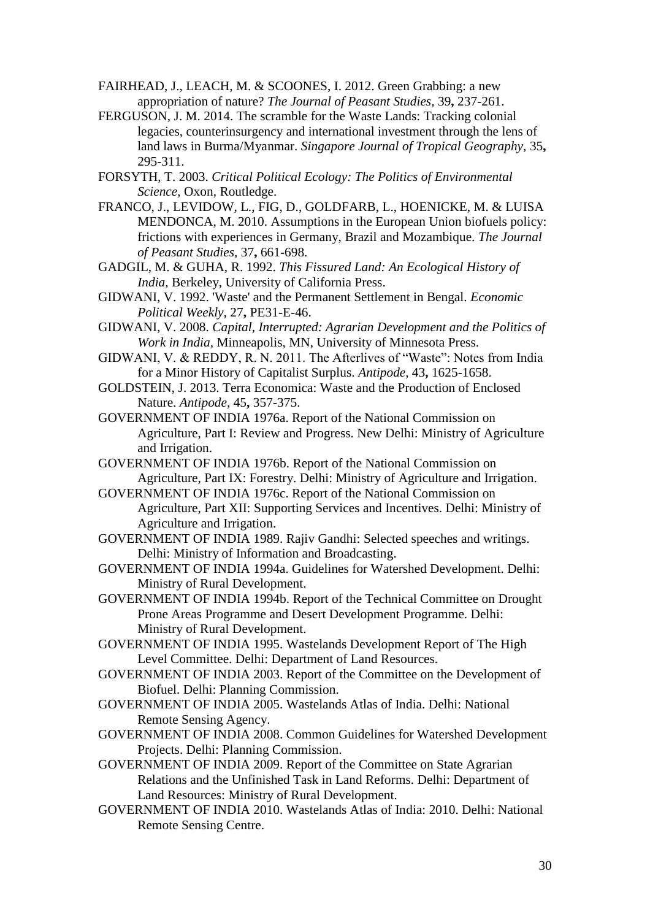FAIRHEAD, J., LEACH, M. & SCOONES, I. 2012. Green Grabbing: a new appropriation of nature? *The Journal of Peasant Studies,* 39**,** 237-261.

FERGUSON, J. M. 2014. The scramble for the Waste Lands: Tracking colonial legacies, counterinsurgency and international investment through the lens of land laws in Burma/Myanmar. *Singapore Journal of Tropical Geography,* 35**,** 295-311.

FORSYTH, T. 2003. *Critical Political Ecology: The Politics of Environmental Science,* Oxon, Routledge.

- FRANCO, J., LEVIDOW, L., FIG, D., GOLDFARB, L., HOENICKE, M. & LUISA MENDONCA, M. 2010. Assumptions in the European Union biofuels policy: frictions with experiences in Germany, Brazil and Mozambique. *The Journal of Peasant Studies,* 37**,** 661-698.
- GADGIL, M. & GUHA, R. 1992. *This Fissured Land: An Ecological History of India,* Berkeley, University of California Press.
- GIDWANI, V. 1992. 'Waste' and the Permanent Settlement in Bengal. *Economic Political Weekly,* 27**,** PE31-E-46.

GIDWANI, V. 2008. *Capital, Interrupted: Agrarian Development and the Politics of Work in India,* Minneapolis, MN, University of Minnesota Press.

- GIDWANI, V. & REDDY, R. N. 2011. The Afterlives of "Waste": Notes from India for a Minor History of Capitalist Surplus. *Antipode,* 43**,** 1625-1658.
- GOLDSTEIN, J. 2013. Terra Economica: Waste and the Production of Enclosed Nature. *Antipode,* 45**,** 357-375.

GOVERNMENT OF INDIA 1976a. Report of the National Commission on Agriculture, Part I: Review and Progress. New Delhi: Ministry of Agriculture and Irrigation.

- GOVERNMENT OF INDIA 1976b. Report of the National Commission on Agriculture, Part IX: Forestry. Delhi: Ministry of Agriculture and Irrigation.
- GOVERNMENT OF INDIA 1976c. Report of the National Commission on Agriculture, Part XII: Supporting Services and Incentives. Delhi: Ministry of Agriculture and Irrigation.
- GOVERNMENT OF INDIA 1989. Rajiv Gandhi: Selected speeches and writings. Delhi: Ministry of Information and Broadcasting.
- GOVERNMENT OF INDIA 1994a. Guidelines for Watershed Development. Delhi: Ministry of Rural Development.
- GOVERNMENT OF INDIA 1994b. Report of the Technical Committee on Drought Prone Areas Programme and Desert Development Programme. Delhi: Ministry of Rural Development.

GOVERNMENT OF INDIA 1995. Wastelands Development Report of The High Level Committee. Delhi: Department of Land Resources.

- GOVERNMENT OF INDIA 2003. Report of the Committee on the Development of Biofuel. Delhi: Planning Commission.
- GOVERNMENT OF INDIA 2005. Wastelands Atlas of India. Delhi: National Remote Sensing Agency.
- GOVERNMENT OF INDIA 2008. Common Guidelines for Watershed Development Projects. Delhi: Planning Commission.
- GOVERNMENT OF INDIA 2009. Report of the Committee on State Agrarian Relations and the Unfinished Task in Land Reforms. Delhi: Department of Land Resources: Ministry of Rural Development.
- GOVERNMENT OF INDIA 2010. Wastelands Atlas of India: 2010. Delhi: National Remote Sensing Centre.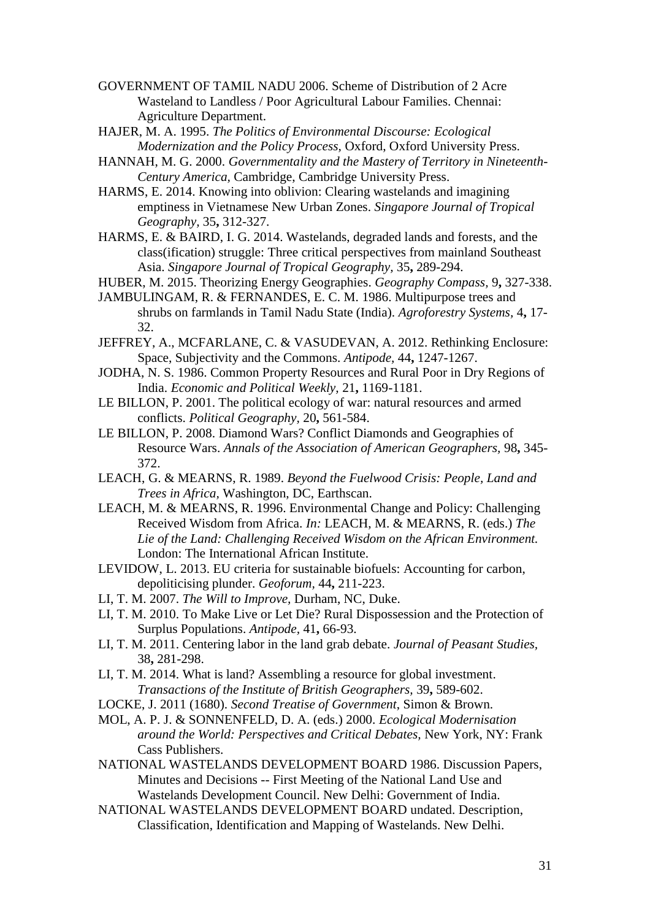- GOVERNMENT OF TAMIL NADU 2006. Scheme of Distribution of 2 Acre Wasteland to Landless / Poor Agricultural Labour Families. Chennai: Agriculture Department.
- HAJER, M. A. 1995. *The Politics of Environmental Discourse: Ecological Modernization and the Policy Process,* Oxford, Oxford University Press.
- HANNAH, M. G. 2000. *Governmentality and the Mastery of Territory in Nineteenth-Century America,* Cambridge, Cambridge University Press.
- HARMS, E. 2014. Knowing into oblivion: Clearing wastelands and imagining emptiness in Vietnamese New Urban Zones. *Singapore Journal of Tropical Geography,* 35**,** 312-327.
- HARMS, E. & BAIRD, I. G. 2014. Wastelands, degraded lands and forests, and the class(ification) struggle: Three critical perspectives from mainland Southeast Asia. *Singapore Journal of Tropical Geography,* 35**,** 289-294.
- HUBER, M. 2015. Theorizing Energy Geographies. *Geography Compass,* 9**,** 327-338.
- JAMBULINGAM, R. & FERNANDES, E. C. M. 1986. Multipurpose trees and shrubs on farmlands in Tamil Nadu State (India). *Agroforestry Systems,* 4**,** 17- 32.
- JEFFREY, A., MCFARLANE, C. & VASUDEVAN, A. 2012. Rethinking Enclosure: Space, Subjectivity and the Commons. *Antipode,* 44**,** 1247-1267.
- JODHA, N. S. 1986. Common Property Resources and Rural Poor in Dry Regions of India. *Economic and Political Weekly,* 21**,** 1169-1181.
- LE BILLON, P. 2001. The political ecology of war: natural resources and armed conflicts. *Political Geography,* 20**,** 561-584.
- LE BILLON, P. 2008. Diamond Wars? Conflict Diamonds and Geographies of Resource Wars. *Annals of the Association of American Geographers,* 98**,** 345- 372.
- LEACH, G. & MEARNS, R. 1989. *Beyond the Fuelwood Crisis: People, Land and Trees in Africa,* Washington, DC, Earthscan.
- LEACH, M. & MEARNS, R. 1996. Environmental Change and Policy: Challenging Received Wisdom from Africa. *In:* LEACH, M. & MEARNS, R. (eds.) *The Lie of the Land: Challenging Received Wisdom on the African Environment.* London: The International African Institute.
- LEVIDOW, L. 2013. EU criteria for sustainable biofuels: Accounting for carbon, depoliticising plunder. *Geoforum,* 44**,** 211-223.
- LI, T. M. 2007. *The Will to Improve,* Durham, NC, Duke.
- LI, T. M. 2010. To Make Live or Let Die? Rural Dispossession and the Protection of Surplus Populations. *Antipode,* 41**,** 66-93.
- LI, T. M. 2011. Centering labor in the land grab debate. *Journal of Peasant Studies,* 38**,** 281-298.
- LI, T. M. 2014. What is land? Assembling a resource for global investment. *Transactions of the Institute of British Geographers,* 39**,** 589-602.
- LOCKE, J. 2011 (1680). *Second Treatise of Government*, Simon & Brown.
- MOL, A. P. J. & SONNENFELD, D. A. (eds.) 2000. *Ecological Modernisation around the World: Perspectives and Critical Debates,* New York, NY: Frank Cass Publishers.
- NATIONAL WASTELANDS DEVELOPMENT BOARD 1986. Discussion Papers, Minutes and Decisions -- First Meeting of the National Land Use and Wastelands Development Council. New Delhi: Government of India.
- NATIONAL WASTELANDS DEVELOPMENT BOARD undated. Description, Classification, Identification and Mapping of Wastelands. New Delhi.